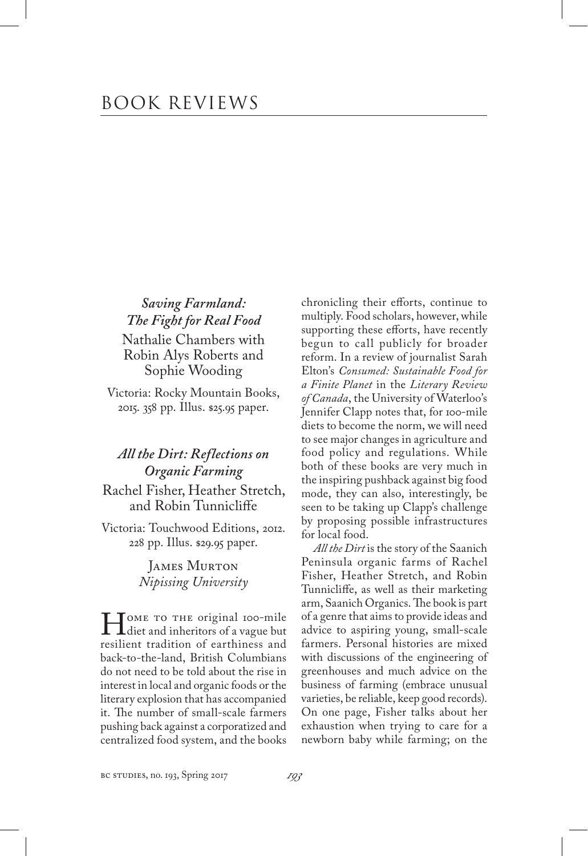*Saving Farmland: The Fight for Real Food* Nathalie Chambers with Robin Alys Roberts and Sophie Wooding

Victoria: Rocky Mountain Books, 2015. 358 pp. Illus. \$25.95 paper.

## *All the Dirt: Reflections on Organic Farming*

Rachel Fisher, Heather Stretch, and Robin Tunnicliffe

Victoria: Touchwood Editions, 2012. 228 pp. Illus. \$29.95 paper.

> James Murton *Nipissing University*

MOME TO THE original 100-mile<br>diet and inheritors of a vague but<br>resilient tradition of earthiness and resilient tradition of earthiness and back-to-the-land, British Columbians do not need to be told about the rise in interest in local and organic foods or the literary explosion that has accompanied it. The number of small-scale farmers pushing back against a corporatized and centralized food system, and the books

chronicling their efforts, continue to multiply. Food scholars, however, while supporting these efforts, have recently begun to call publicly for broader reform. In a review of journalist Sarah Elton's *Consumed: Sustainable Food for a Finite Planet* in the *Literary Review of Canada*, the University of Waterloo's Jennifer Clapp notes that, for 100-mile diets to become the norm, we will need to see major changes in agriculture and food policy and regulations. While both of these books are very much in the inspiring pushback against big food mode, they can also, interestingly, be seen to be taking up Clapp's challenge by proposing possible infrastructures for local food.

*All the Dirt* is the story of the Saanich Peninsula organic farms of Rachel Fisher, Heather Stretch, and Robin Tunnicliffe, as well as their marketing arm, Saanich Organics. The book is part of a genre that aims to provide ideas and advice to aspiring young, small-scale farmers. Personal histories are mixed with discussions of the engineering of greenhouses and much advice on the business of farming (embrace unusual varieties, be reliable, keep good records). On one page, Fisher talks about her exhaustion when trying to care for a newborn baby while farming; on the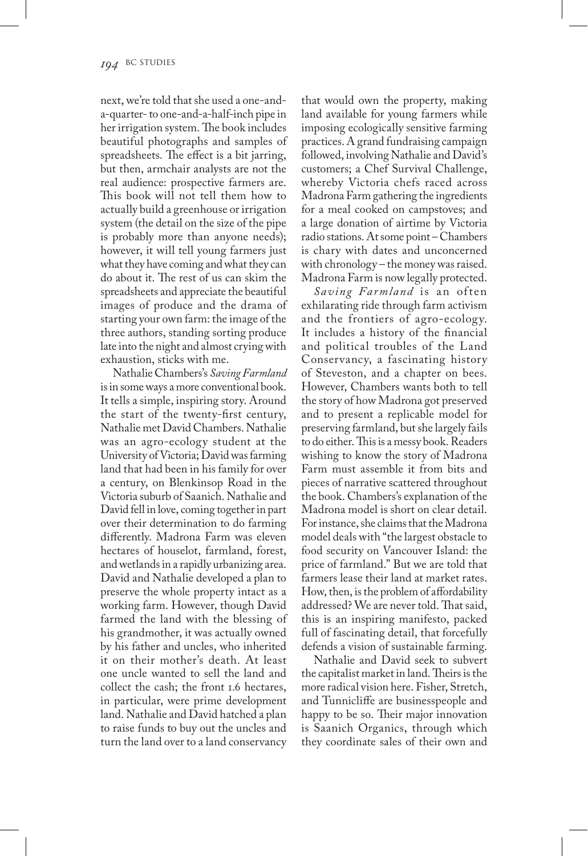next, we're told that she used a one-anda-quarter- to one-and-a-half-inch pipe in her irrigation system. The book includes beautiful photographs and samples of spreadsheets. The effect is a bit jarring, but then, armchair analysts are not the real audience: prospective farmers are. This book will not tell them how to actually build a greenhouse or irrigation system (the detail on the size of the pipe is probably more than anyone needs); however, it will tell young farmers just what they have coming and what they can do about it. The rest of us can skim the spreadsheets and appreciate the beautiful images of produce and the drama of starting your own farm: the image of the three authors, standing sorting produce late into the night and almost crying with exhaustion, sticks with me.

Nathalie Chambers's *Saving Farmland* is in some ways a more conventional book. It tells a simple, inspiring story. Around the start of the twenty-first century, Nathalie met David Chambers. Nathalie was an agro-ecology student at the University of Victoria; David was farming land that had been in his family for over a century, on Blenkinsop Road in the Victoria suburb of Saanich. Nathalie and David fell in love, coming together in part over their determination to do farming differently. Madrona Farm was eleven hectares of houselot, farmland, forest, and wetlands in a rapidly urbanizing area. David and Nathalie developed a plan to preserve the whole property intact as a working farm. However, though David farmed the land with the blessing of his grandmother, it was actually owned by his father and uncles, who inherited it on their mother's death. At least one uncle wanted to sell the land and collect the cash; the front 1.6 hectares, in particular, were prime development land. Nathalie and David hatched a plan to raise funds to buy out the uncles and turn the land over to a land conservancy

that would own the property, making land available for young farmers while imposing ecologically sensitive farming practices. A grand fundraising campaign followed, involving Nathalie and David's customers; a Chef Survival Challenge, whereby Victoria chefs raced across Madrona Farm gathering the ingredients for a meal cooked on campstoves; and a large donation of airtime by Victoria radio stations. At some point – Chambers is chary with dates and unconcerned with chronology – the money was raised. Madrona Farm is now legally protected.

*Saving Farmland* is an often exhilarating ride through farm activism and the frontiers of agro-ecology. It includes a history of the financial and political troubles of the Land Conservancy, a fascinating history of Steveston, and a chapter on bees. However, Chambers wants both to tell the story of how Madrona got preserved and to present a replicable model for preserving farmland, but she largely fails to do either. This is a messy book. Readers wishing to know the story of Madrona Farm must assemble it from bits and pieces of narrative scattered throughout the book. Chambers's explanation of the Madrona model is short on clear detail. For instance, she claims that the Madrona model deals with "the largest obstacle to food security on Vancouver Island: the price of farmland." But we are told that farmers lease their land at market rates. How, then, is the problem of affordability addressed? We are never told. That said, this is an inspiring manifesto, packed full of fascinating detail, that forcefully defends a vision of sustainable farming.

Nathalie and David seek to subvert the capitalist market in land. Theirs is the more radical vision here. Fisher, Stretch, and Tunnicliffe are businesspeople and happy to be so. Their major innovation is Saanich Organics, through which they coordinate sales of their own and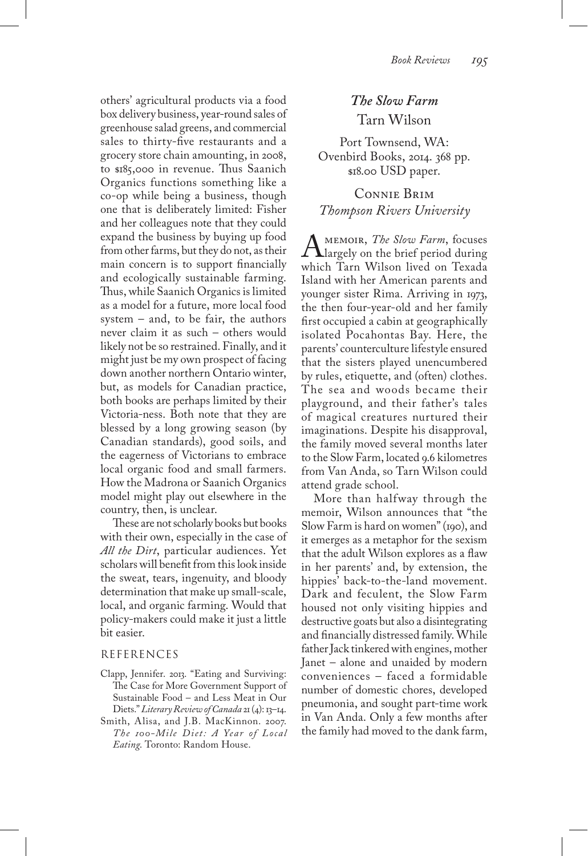others' agricultural products via a food box delivery business, year-round sales of greenhouse salad greens, and commercial sales to thirty-five restaurants and a grocery store chain amounting, in 2008, to \$185,000 in revenue. Thus Saanich Organics functions something like a co-op while being a business, though one that is deliberately limited: Fisher and her colleagues note that they could expand the business by buying up food from other farms, but they do not, as their main concern is to support financially and ecologically sustainable farming. Thus, while Saanich Organics is limited as a model for a future, more local food system – and, to be fair, the authors never claim it as such – others would likely not be so restrained. Finally, and it might just be my own prospect of facing down another northern Ontario winter, but, as models for Canadian practice, both books are perhaps limited by their Victoria-ness. Both note that they are blessed by a long growing season (by Canadian standards), good soils, and the eagerness of Victorians to embrace local organic food and small farmers. How the Madrona or Saanich Organics model might play out elsewhere in the country, then, is unclear.

These are not scholarly books but books with their own, especially in the case of *All the Dirt*, particular audiences. Yet scholars will benefit from this look inside the sweat, tears, ingenuity, and bloody determination that make up small-scale, local, and organic farming. Would that policy-makers could make it just a little bit easier.

#### REFERENCES

- Clapp, Jennifer. 2013. "Eating and Surviving: The Case for More Government Support of Sustainable Food – and Less Meat in Our Diets." *Literary Review of Canada* 21 (4): 13–14.
- Smith, Alisa, and J.B. MacKinnon. 2007. *The 100-Mile Diet : A Year of Local Eating*. Toronto: Random House.

## *The Slow Farm* Tarn Wilson

Port Townsend, WA: Ovenbird Books, 2014. 368 pp. \$18.00 USD paper.

Connie Brim *Thompson Rivers University*

MEMOIR, *The Slow Farm*, focuses<br>Wargely on the brief period during<br>which Tarn Wilson lived on Texada which Tarn Wilson lived on Texada Island with her American parents and younger sister Rima. Arriving in 1973, the then four-year-old and her family first occupied a cabin at geographically isolated Pocahontas Bay. Here, the parents' counterculture lifestyle ensured that the sisters played unencumbered by rules, etiquette, and (often) clothes. The sea and woods became their playground, and their father's tales of magical creatures nurtured their imaginations. Despite his disapproval, the family moved several months later to the Slow Farm, located 9.6 kilometres from Van Anda, so Tarn Wilson could attend grade school.

More than halfway through the memoir, Wilson announces that "the Slow Farm is hard on women" (190), and it emerges as a metaphor for the sexism that the adult Wilson explores as a flaw in her parents' and, by extension, the hippies' back-to-the-land movement. Dark and feculent, the Slow Farm housed not only visiting hippies and destructive goats but also a disintegrating and financially distressed family. While father Jack tinkered with engines, mother Janet – alone and unaided by modern conveniences – faced a formidable number of domestic chores, developed pneumonia, and sought part-time work in Van Anda. Only a few months after the family had moved to the dank farm,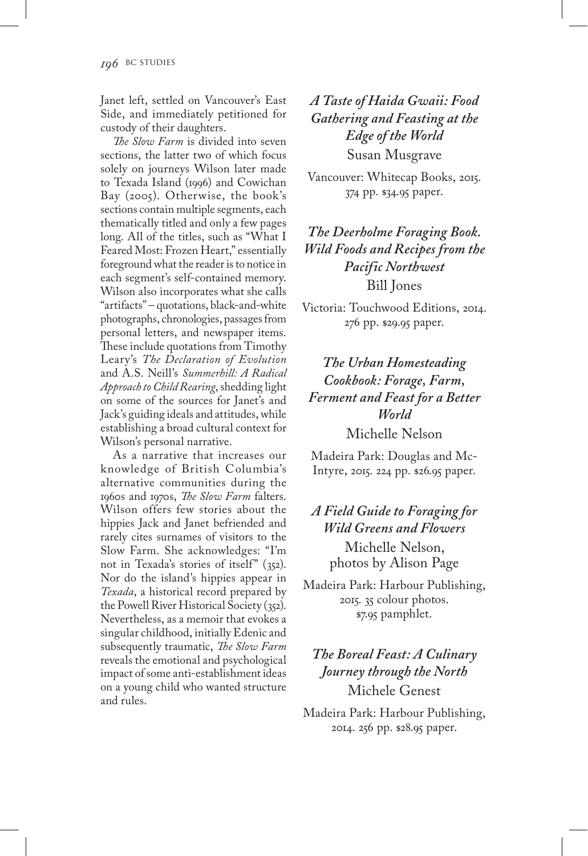Janet left, settled on Vancouver's East Side, and immediately petitioned for custody of their daughters.

*The Slow Farm* is divided into seven sections, the latter two of which focus solely on journeys Wilson later made to Texada Island (1996) and Cowichan Bay (2005). Otherwise, the book's sections contain multiple segments, each thematically titled and only a few pages long. All of the titles, such as "What I Feared Most: Frozen Heart," essentially foreground what the reader is to notice in each segment's self-contained memory. Wilson also incorporates what she calls "artifacts" – quotations, black-and-white photographs, chronologies, passages from personal letters, and newspaper items. These include quotations from Timothy Leary's *The Declaration of Evolution* and A.S. Neill's *Summerhill: A Radical Approach to Child Rearing*, shedding light on some of the sources for Janet's and Jack's guiding ideals and attitudes, while establishing a broad cultural context for Wilson's personal narrative.

As a narrative that increases our knowledge of British Columbia's alternative communities during the 1960s and 1970s, *The Slow Farm* falters. Wilson offers few stories about the hippies Jack and Janet befriended and rarely cites surnames of visitors to the Slow Farm. She acknowledges: "I'm not in Texada's stories of itself" (352). Nor do the island's hippies appear in *Texada*, a historical record prepared by the Powell River Historical Society (352). Nevertheless, as a memoir that evokes a singular childhood, initially Edenic and subsequently traumatic, *The Slow Farm* reveals the emotional and psychological impact of some anti-establishment ideas on a young child who wanted structure and rules.

*A Taste of Haida Gwaii: Food Gathering and Feasting at the Edge of the World* Susan Musgrave

Vancouver: Whitecap Books, 2015. 374 pp. \$34.95 paper.

*The Deerholme Foraging Book. Wild Foods and Recipes from the Pacific Northwest* Bill Jones

Victoria: Touchwood Editions, 2014. 276 pp. \$29.95 paper.

*The Urban Homesteading Cookbook: Forage, Farm, Ferment and Feast for a Better World* Michelle Nelson

Madeira Park: Douglas and Mc-Intyre, 2015. 224 pp. \$26.95 paper.

## *A Field Guide to Foraging for Wild Greens and Flowers* Michelle Nelson, photos by Alison Page

Madeira Park: Harbour Publishing, 2015. 35 colour photos. \$7.95 pamphlet.

# *The Boreal Feast: A Culinary Journey through the North* Michele Genest

Madeira Park: Harbour Publishing, 2014. 256 pp. \$28.95 paper.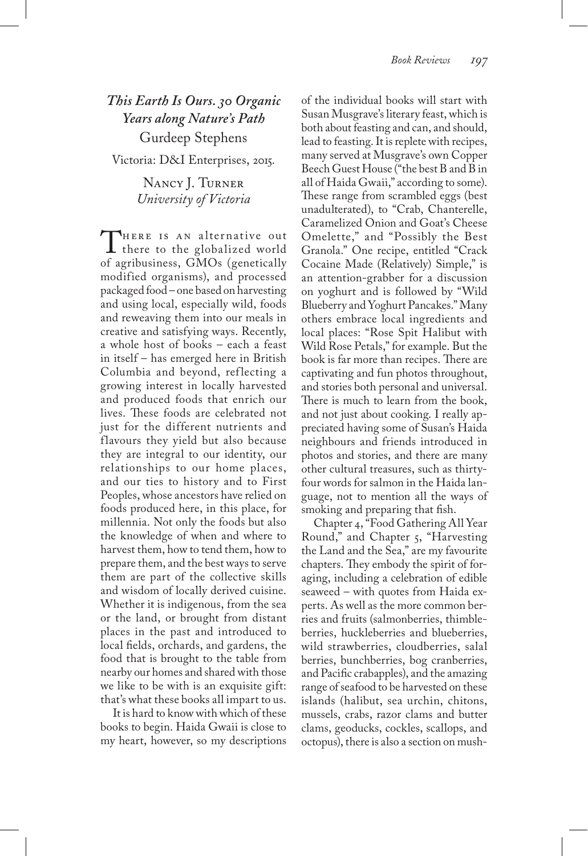# *This Earth Is Ours. 30 Organic Years along Nature's Path* Gurdeep Stephens Victoria: D&I Enterprises, 2015.

Nancy J. Turner *University of Victoria*

THERE IS AN alternative out<br>there to the globalized world<br>of agribusiness. GMOs (genetically of agribusiness, GMOs (genetically modified organisms), and processed packaged food – one based on harvesting and using local, especially wild, foods and reweaving them into our meals in creative and satisfying ways. Recently, a whole host of books – each a feast in itself – has emerged here in British Columbia and beyond, reflecting a growing interest in locally harvested and produced foods that enrich our lives. These foods are celebrated not just for the different nutrients and flavours they yield but also because they are integral to our identity, our relationships to our home places, and our ties to history and to First Peoples, whose ancestors have relied on foods produced here, in this place, for millennia. Not only the foods but also the knowledge of when and where to harvest them, how to tend them, how to prepare them, and the best ways to serve them are part of the collective skills and wisdom of locally derived cuisine. Whether it is indigenous, from the sea or the land, or brought from distant places in the past and introduced to local fields, orchards, and gardens, the food that is brought to the table from nearby our homes and shared with those we like to be with is an exquisite gift: that's what these books all impart to us.

It is hard to know with which of these books to begin. Haida Gwaii is close to my heart, however, so my descriptions of the individual books will start with Susan Musgrave's literary feast, which is both about feasting and can, and should, lead to feasting. It is replete with recipes, many served at Musgrave's own Copper Beech Guest House ("the best B and B in all of Haida Gwaii," according to some). These range from scrambled eggs (best unadulterated), to "Crab, Chanterelle, Caramelized Onion and Goat's Cheese Omelette," and "Possibly the Best Granola." One recipe, entitled "Crack Cocaine Made (Relatively) Simple," is an attention-grabber for a discussion on yoghurt and is followed by "Wild Blueberry and Yoghurt Pancakes." Many others embrace local ingredients and local places: "Rose Spit Halibut with Wild Rose Petals," for example. But the book is far more than recipes. There are captivating and fun photos throughout, and stories both personal and universal. There is much to learn from the book, and not just about cooking. I really appreciated having some of Susan's Haida neighbours and friends introduced in photos and stories, and there are many other cultural treasures, such as thirtyfour words for salmon in the Haida language, not to mention all the ways of smoking and preparing that fish.

Chapter 4, "Food Gathering All Year Round," and Chapter 5, "Harvesting the Land and the Sea," are my favourite chapters. They embody the spirit of foraging, including a celebration of edible seaweed – with quotes from Haida experts. As well as the more common berries and fruits (salmonberries, thimbleberries, huckleberries and blueberries, wild strawberries, cloudberries, salal berries, bunchberries, bog cranberries, and Pacific crabapples), and the amazing range of seafood to be harvested on these islands (halibut, sea urchin, chitons, mussels, crabs, razor clams and butter clams, geoducks, cockles, scallops, and octopus), there is also a section on mush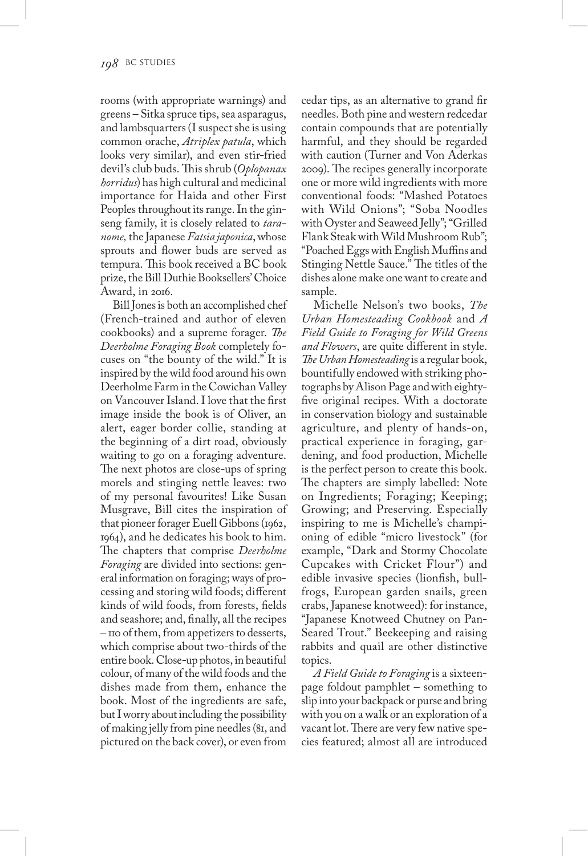rooms (with appropriate warnings) and greens – Sitka spruce tips, sea asparagus, and lambsquarters (I suspect she is using common orache, *Atriplex patula*, which looks very similar), and even stir-fried devil's club buds. This shrub (*Oplopanax horridus*) has high cultural and medicinal importance for Haida and other First Peoples throughout its range. In the ginseng family, it is closely related to *taranome,* the Japanese *Fatsia japonica*, whose sprouts and flower buds are served as tempura. This book received a BC book prize, the Bill Duthie Booksellers' Choice Award, in 2016.

Bill Jones is both an accomplished chef (French-trained and author of eleven cookbooks) and a supreme forager. *The Deerholme Foraging Book* completely focuses on "the bounty of the wild." It is inspired by the wild food around his own Deerholme Farm in the Cowichan Valley on Vancouver Island. I love that the first image inside the book is of Oliver, an alert, eager border collie, standing at the beginning of a dirt road, obviously waiting to go on a foraging adventure. The next photos are close-ups of spring morels and stinging nettle leaves: two of my personal favourites! Like Susan Musgrave, Bill cites the inspiration of that pioneer forager Euell Gibbons (1962, 1964), and he dedicates his book to him. The chapters that comprise *Deerholme Foraging* are divided into sections: general information on foraging; ways of processing and storing wild foods; different kinds of wild foods, from forests, fields and seashore; and, finally, all the recipes – 110 of them, from appetizers to desserts, which comprise about two-thirds of the entire book. Close-up photos, in beautiful colour, of many of the wild foods and the dishes made from them, enhance the book. Most of the ingredients are safe, but I worry about including the possibility of making jelly from pine needles (81, and pictured on the back cover), or even from

cedar tips, as an alternative to grand fir needles. Both pine and western redcedar contain compounds that are potentially harmful, and they should be regarded with caution (Turner and Von Aderkas 2009). The recipes generally incorporate one or more wild ingredients with more conventional foods: "Mashed Potatoes with Wild Onions"; "Soba Noodles with Oyster and Seaweed Jelly"; "Grilled Flank Steak with Wild Mushroom Rub"; "Poached Eggs with English Muffins and Stinging Nettle Sauce." The titles of the dishes alone make one want to create and sample.

Michelle Nelson's two books, *The Urban Homesteading Cookbook* and *A Field Guide to Foraging for Wild Greens and Flowers*, are quite different in style. *The Urban Homesteading* is a regular book, bountifully endowed with striking photographs by Alison Page and with eightyfive original recipes. With a doctorate in conservation biology and sustainable agriculture, and plenty of hands-on, practical experience in foraging, gardening, and food production, Michelle is the perfect person to create this book. The chapters are simply labelled: Note on Ingredients; Foraging; Keeping; Growing; and Preserving. Especially inspiring to me is Michelle's championing of edible "micro livestock" (for example, "Dark and Stormy Chocolate Cupcakes with Cricket Flour") and edible invasive species (lionfish, bullfrogs, European garden snails, green crabs, Japanese knotweed): for instance, "Japanese Knotweed Chutney on Pan-Seared Trout." Beekeeping and raising rabbits and quail are other distinctive topics.

*A Field Guide to Foraging* is a sixteenpage foldout pamphlet – something to slip into your backpack or purse and bring with you on a walk or an exploration of a vacant lot. There are very few native species featured; almost all are introduced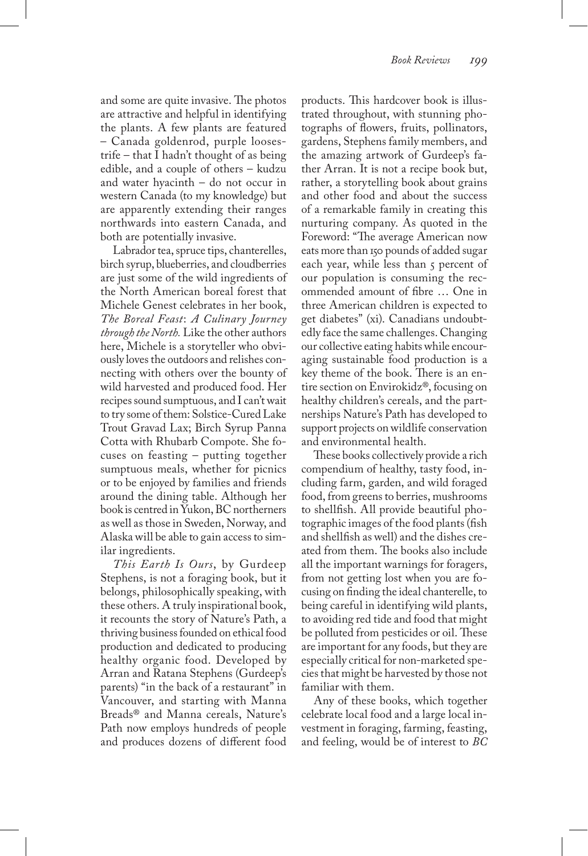and some are quite invasive. The photos are attractive and helpful in identifying the plants. A few plants are featured – Canada goldenrod, purple loosestrife – that I hadn't thought of as being edible, and a couple of others – kudzu and water hyacinth – do not occur in western Canada (to my knowledge) but are apparently extending their ranges northwards into eastern Canada, and both are potentially invasive.

Labrador tea, spruce tips, chanterelles, birch syrup, blueberries, and cloudberries are just some of the wild ingredients of the North American boreal forest that Michele Genest celebrates in her book, *The Boreal Feast*: *A Culinary Journey through the North.* Like the other authors here, Michele is a storyteller who obviously loves the outdoors and relishes connecting with others over the bounty of wild harvested and produced food. Her recipes sound sumptuous, and I can't wait to try some of them: Solstice-Cured Lake Trout Gravad Lax; Birch Syrup Panna Cotta with Rhubarb Compote. She focuses on feasting – putting together sumptuous meals, whether for picnics or to be enjoyed by families and friends around the dining table. Although her book is centred in Yukon, BC northerners as well as those in Sweden, Norway, and Alaska will be able to gain access to similar ingredients.

*This Earth Is Ours*, by Gurdeep Stephens, is not a foraging book, but it belongs, philosophically speaking, with these others. A truly inspirational book, it recounts the story of Nature's Path, a thriving business founded on ethical food production and dedicated to producing healthy organic food. Developed by Arran and Ratana Stephens (Gurdeep's parents) "in the back of a restaurant" in Vancouver, and starting with Manna Breads® and Manna cereals, Nature's Path now employs hundreds of people and produces dozens of different food

products. This hardcover book is illustrated throughout, with stunning photographs of flowers, fruits, pollinators, gardens, Stephens family members, and the amazing artwork of Gurdeep's father Arran. It is not a recipe book but, rather, a storytelling book about grains and other food and about the success of a remarkable family in creating this nurturing company. As quoted in the Foreword: "The average American now eats more than 150 pounds of added sugar each year, while less than 5 percent of our population is consuming the recommended amount of fibre … One in three American children is expected to get diabetes" (xi). Canadians undoubtedly face the same challenges. Changing our collective eating habits while encouraging sustainable food production is a key theme of the book. There is an entire section on Envirokidz®, focusing on healthy children's cereals, and the partnerships Nature's Path has developed to support projects on wildlife conservation and environmental health.

These books collectively provide a rich compendium of healthy, tasty food, including farm, garden, and wild foraged food, from greens to berries, mushrooms to shellfish. All provide beautiful photographic images of the food plants (fish and shellfish as well) and the dishes created from them. The books also include all the important warnings for foragers, from not getting lost when you are focusing on finding the ideal chanterelle, to being careful in identifying wild plants, to avoiding red tide and food that might be polluted from pesticides or oil. These are important for any foods, but they are especially critical for non-marketed species that might be harvested by those not familiar with them.

Any of these books, which together celebrate local food and a large local investment in foraging, farming, feasting, and feeling, would be of interest to *BC*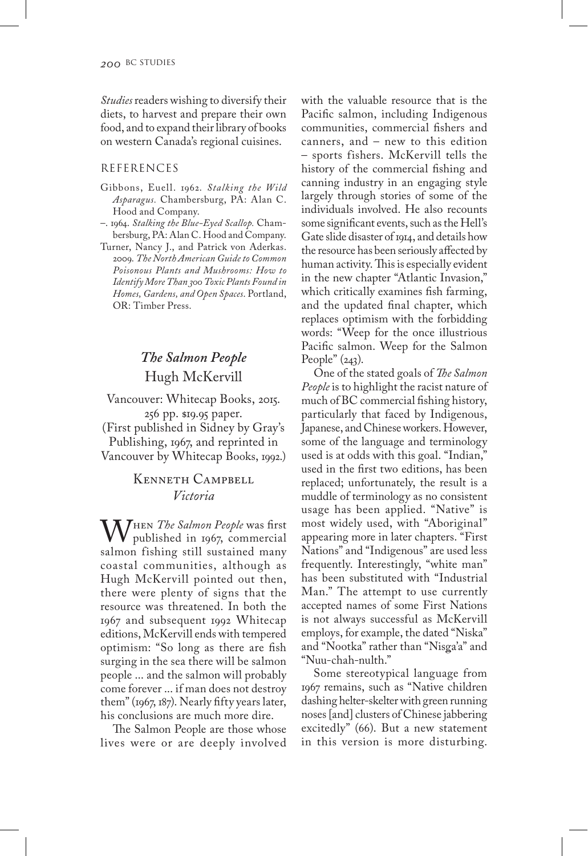*Studies* readers wishing to diversify their diets, to harvest and prepare their own food, and to expand their library of books on western Canada's regional cuisines.

### REFERENCES

- Gibbons, Euell. 1962. *Stalking the Wild Asparagus.* Chambersburg, PA: Alan C. Hood and Company.
- –. 1964. *Stalking the Blue-Eyed Scallop.* Chambersburg, PA: Alan C. Hood and Company.
- Turner, Nancy J., and Patrick von Aderkas. 2009. *The North American Guide to Common Poisonous Plants and Mushrooms: How to Identify More Than 300 Toxic Plants Found in Homes, Gardens, and Open Spaces*. Portland, OR: Timber Press.

# *The Salmon People* Hugh McKervill

Vancouver: Whitecap Books, 2015. 256 pp. \$19.95 paper. (First published in Sidney by Gray's Publishing, 1967, and reprinted in Vancouver by Whitecap Books, 1992.)

### Kenneth Campbell *Victoria*

W<sup>HEN</sup> *The Salmon People* was first published in 1967, commercial salmon fishing still sustained many coastal communities, although as Hugh McKervill pointed out then, there were plenty of signs that the resource was threatened. In both the 1967 and subsequent 1992 Whitecap editions, McKervill ends with tempered optimism: "So long as there are fish surging in the sea there will be salmon people ... and the salmon will probably come forever ... if man does not destroy them" (1967, 187). Nearly fifty years later, his conclusions are much more dire.

The Salmon People are those whose lives were or are deeply involved with the valuable resource that is the Pacific salmon, including Indigenous communities, commercial fishers and canners, and – new to this edition – sports fishers. McKervill tells the history of the commercial fishing and canning industry in an engaging style largely through stories of some of the individuals involved. He also recounts some significant events, such as the Hell's Gate slide disaster of 1914, and details how the resource has been seriously affected by human activity. This is especially evident in the new chapter "Atlantic Invasion," which critically examines fish farming, and the updated final chapter, which replaces optimism with the forbidding words: "Weep for the once illustrious Pacific salmon. Weep for the Salmon People"  $(243)$ .

One of the stated goals of *The Salmon People* is to highlight the racist nature of much of BC commercial fishing history, particularly that faced by Indigenous, Japanese, and Chinese workers. However, some of the language and terminology used is at odds with this goal. "Indian," used in the first two editions, has been replaced; unfortunately, the result is a muddle of terminology as no consistent usage has been applied. "Native" is most widely used, with "Aboriginal" appearing more in later chapters. "First Nations" and "Indigenous" are used less frequently. Interestingly, "white man" has been substituted with "Industrial Man." The attempt to use currently accepted names of some First Nations is not always successful as McKervill employs, for example, the dated "Niska" and "Nootka" rather than "Nisga'a" and "Nuu-chah-nulth."

Some stereotypical language from 1967 remains, such as "Native children dashing helter-skelter with green running noses [and] clusters of Chinese jabbering excitedly" (66). But a new statement in this version is more disturbing.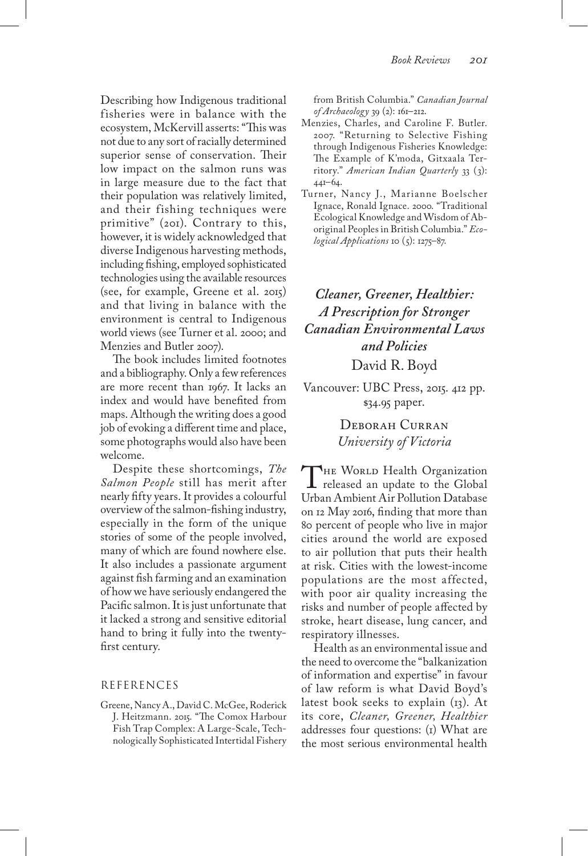Describing how Indigenous traditional fisheries were in balance with the ecosystem, McKervill asserts: "This was not due to any sort of racially determined superior sense of conservation. Their low impact on the salmon runs was in large measure due to the fact that their population was relatively limited, and their fishing techniques were primitive" (201). Contrary to this, however, it is widely acknowledged that diverse Indigenous harvesting methods, including fishing, employed sophisticated technologies using the available resources (see, for example, Greene et al. 2015) and that living in balance with the environment is central to Indigenous world views (see Turner et al. 2000; and Menzies and Butler 2007).

The book includes limited footnotes and a bibliography. Only a few references are more recent than 1967. It lacks an index and would have benefited from maps. Although the writing does a good job of evoking a different time and place, some photographs would also have been welcome.

Despite these shortcomings, *The Salmon People* still has merit after nearly fifty years. It provides a colourful overview of the salmon-fishing industry, especially in the form of the unique stories of some of the people involved, many of which are found nowhere else. It also includes a passionate argument against fish farming and an examination of how we have seriously endangered the Pacific salmon. It is just unfortunate that it lacked a strong and sensitive editorial hand to bring it fully into the twentyfirst century.

#### REFERENCES

Greene, Nancy A., David C. McGee, Roderick J. Heitzmann. 2015. "The Comox Harbour Fish Trap Complex: A Large-Scale, Technologically Sophisticated Intertidal Fishery from British Columbia." *Canadian Journal of Archaeology* 39 (2): 161–212.

- Menzies, Charles, and Caroline F. Butler. 2007. "Returning to Selective Fishing through Indigenous Fisheries Knowledge: The Example of K'moda, Gitxaala Territory." *American Indian Quarterly* 33 (3): 441–64.
- Turner, Nancy J., Marianne Boelscher Ignace, Ronald Ignace. 2000. "Traditional Ecological Knowledge and Wisdom of Aboriginal Peoples in British Columbia." *Ecological Applications* 10 (5): 1275–87.

# *Cleaner, Greener, Healthier: A Prescription for Stronger Canadian Environmental Laws and Policies* David R. Boyd

Vancouver: UBC Press, 2015. 412 pp. \$34.95 paper.

## Deborah Curran *University of Victoria*

THE WORLD Health Organization **L** released an update to the Global Urban Ambient Air Pollution Database on 12 May 2016, finding that more than 80 percent of people who live in major cities around the world are exposed to air pollution that puts their health at risk. Cities with the lowest-income populations are the most affected, with poor air quality increasing the risks and number of people affected by stroke, heart disease, lung cancer, and respiratory illnesses.

Health as an environmental issue and the need to overcome the "balkanization of information and expertise" in favour of law reform is what David Boyd's latest book seeks to explain (13). At its core, *Cleaner, Greener, Healthier*  addresses four questions: (1) What are the most serious environmental health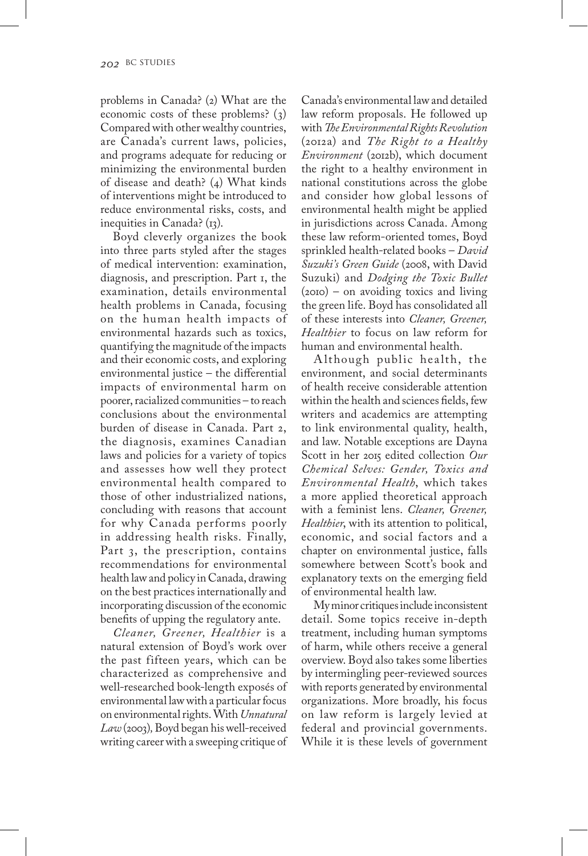problems in Canada? (2) What are the economic costs of these problems? (3) Compared with other wealthy countries, are Canada's current laws, policies, and programs adequate for reducing or minimizing the environmental burden of disease and death? (4) What kinds of interventions might be introduced to reduce environmental risks, costs, and inequities in Canada?  $(r_3)$ .

Boyd cleverly organizes the book into three parts styled after the stages of medical intervention: examination, diagnosis, and prescription. Part 1, the examination, details environmental health problems in Canada, focusing on the human health impacts of environmental hazards such as toxics, quantifying the magnitude of the impacts and their economic costs, and exploring environmental justice – the differential impacts of environmental harm on poorer, racialized communities – to reach conclusions about the environmental burden of disease in Canada. Part 2, the diagnosis, examines Canadian laws and policies for a variety of topics and assesses how well they protect environmental health compared to those of other industrialized nations, concluding with reasons that account for why Canada performs poorly in addressing health risks. Finally, Part 3, the prescription, contains recommendations for environmental health law and policy in Canada, drawing on the best practices internationally and incorporating discussion of the economic benefits of upping the regulatory ante.

*Cleaner, Greener, Healthier* is a natural extension of Boyd's work over the past fifteen years, which can be characterized as comprehensive and well-researched book-length exposés of environmental law with a particular focus on environmental rights. With *Unnatural Law* (2003)*,* Boyd began his well-received writing career with a sweeping critique of

Canada's environmental law and detailed law reform proposals. He followed up with *The Environmental Rights Revolution* (2012a) and *The Right to a Healthy Environment* (2012b), which document the right to a healthy environment in national constitutions across the globe and consider how global lessons of environmental health might be applied in jurisdictions across Canada. Among these law reform-oriented tomes, Boyd sprinkled health-related books – *David Suzuki's Green Guide* (2008, with David Suzuki) and *Dodging the Toxic Bullet* (2010) – on avoiding toxics and living the green life. Boyd has consolidated all of these interests into *Cleaner, Greener, Healthier* to focus on law reform for human and environmental health.

A lthough public health, the environment, and social determinants of health receive considerable attention within the health and sciences fields, few writers and academics are attempting to link environmental quality, health, and law. Notable exceptions are Dayna Scott in her 2015 edited collection *Our Chemical Selves: Gender, Toxics and Environmental Health*, which takes a more applied theoretical approach with a feminist lens. *Cleaner, Greener, Healthier*, with its attention to political, economic, and social factors and a chapter on environmental justice, falls somewhere between Scott's book and explanatory texts on the emerging field of environmental health law.

My minor critiques include inconsistent detail. Some topics receive in-depth treatment, including human symptoms of harm, while others receive a general overview. Boyd also takes some liberties by intermingling peer-reviewed sources with reports generated by environmental organizations. More broadly, his focus on law reform is largely levied at federal and provincial governments. While it is these levels of government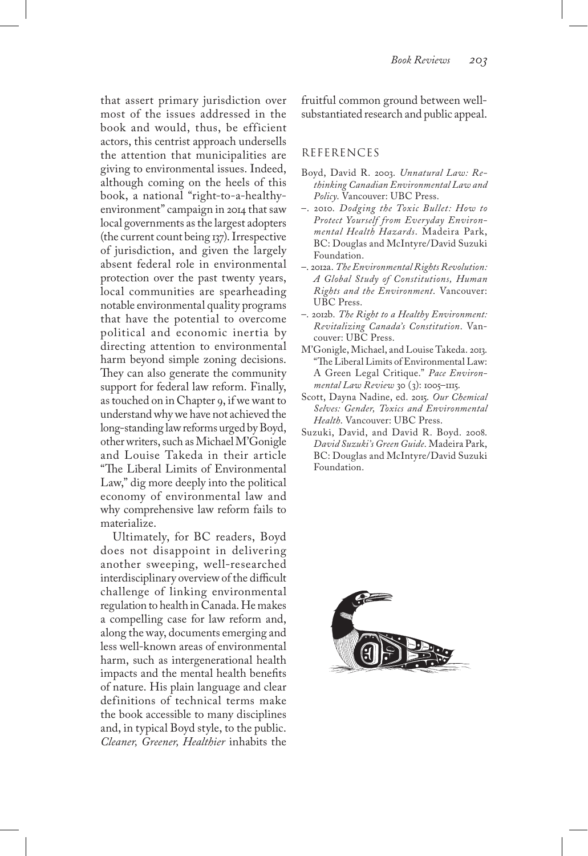that assert primary jurisdiction over most of the issues addressed in the book and would, thus, be efficient actors, this centrist approach undersells the attention that municipalities are giving to environmental issues. Indeed, although coming on the heels of this book, a national "right-to-a-healthyenvironment" campaign in 2014 that saw local governments as the largest adopters (the current count being 137). Irrespective of jurisdiction, and given the largely absent federal role in environmental protection over the past twenty years, local communities are spearheading notable environmental quality programs that have the potential to overcome political and economic inertia by directing attention to environmental harm beyond simple zoning decisions. They can also generate the community support for federal law reform. Finally, as touched on in Chapter 9, if we want to understand why we have not achieved the long-standing law reforms urged by Boyd, other writers, such as Michael M'Gonigle and Louise Takeda in their article "The Liberal Limits of Environmental Law," dig more deeply into the political economy of environmental law and why comprehensive law reform fails to materialize.

Ultimately, for BC readers, Boyd does not disappoint in delivering another sweeping, well-researched interdisciplinary overview of the difficult challenge of linking environmental regulation to health in Canada. He makes a compelling case for law reform and, along the way, documents emerging and less well-known areas of environmental harm, such as intergenerational health impacts and the mental health benefits of nature. His plain language and clear definitions of technical terms make the book accessible to many disciplines and, in typical Boyd style, to the public. *Cleaner, Greener, Healthier* inhabits the

fruitful common ground between wellsubstantiated research and public appeal.

#### REFERENCES

- Boyd, David R. 2003. *Unnatural Law: Rethinking Canadian Environmental Law and Policy*. Vancouver: UBC Press.
- –. 2010. *Dodging the Toxic Bullet: How to Protect Yourself from Everyday Environmental Health Hazards*. Madeira Park, BC: Douglas and McIntyre/David Suzuki Foundation.
- –. 2012a. *The Environmental Rights Revolution: A Global Study of Constitutions, Human Rights and the Environment*. Vancouver: UBC Press.
- –. 2012b. *The Right to a Healthy Environment: Revitalizing Canada's Constitution*. Vancouver: UBC Press.
- M'Gonigle, Michael, and Louise Takeda. 2013. "The Liberal Limits of Environmental Law: A Green Legal Critique." *Pace Environmental Law Review* 30 (3): 1005–1115.
- Scott, Dayna Nadine, ed. 2015. *Our Chemical Selves: Gender, Toxics and Environmental Health*. Vancouver: UBC Press.
- Suzuki, David, and David R. Boyd. 2008. *David Suzuki's Green Guide*. Madeira Park, BC: Douglas and McIntyre/David Suzuki Foundation.

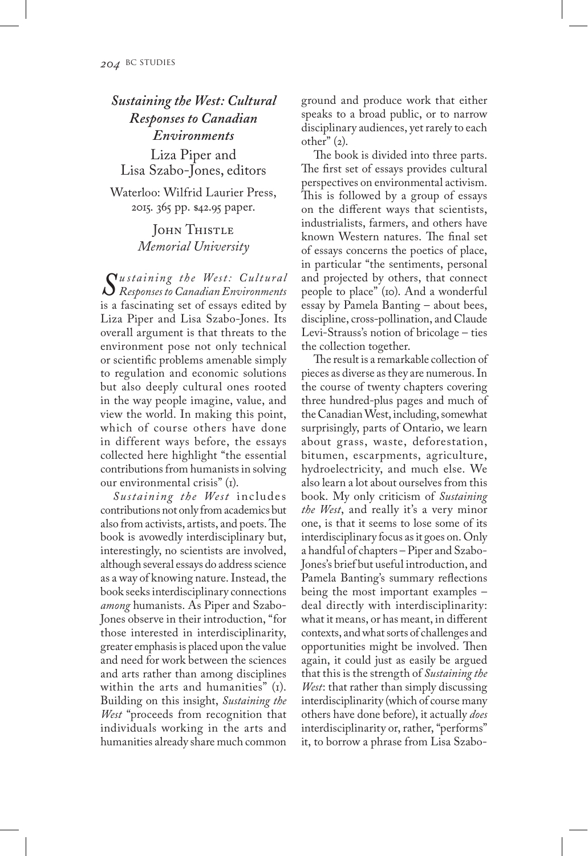*Sustaining the West: Cultural Responses to Canadian Environments* Liza Piper and Lisa Szabo-Jones, editors Waterloo: Wilfrid Laurier Press, 2015. 365 pp. \$42.95 paper.

> John Thistle *Memorial University*

*Su staining the West : C ult u ral Responses to Canadian Environments* is a fascinating set of essays edited by Liza Piper and Lisa Szabo-Jones. Its overall argument is that threats to the environment pose not only technical or scientific problems amenable simply to regulation and economic solutions but also deeply cultural ones rooted in the way people imagine, value, and view the world. In making this point, which of course others have done in different ways before, the essays collected here highlight "the essential contributions from humanists in solving our environmental crisis" (1).

*Sustaining the West* includes contributions not only from academics but also from activists, artists, and poets. The book is avowedly interdisciplinary but, interestingly, no scientists are involved, although several essays do address science as a way of knowing nature. Instead, the book seeks interdisciplinary connections *among* humanists. As Piper and Szabo-Jones observe in their introduction, "for those interested in interdisciplinarity, greater emphasis is placed upon the value and need for work between the sciences and arts rather than among disciplines within the arts and humanities" (I). Building on this insight, *Sustaining the West* "proceeds from recognition that individuals working in the arts and humanities already share much common ground and produce work that either speaks to a broad public, or to narrow disciplinary audiences, yet rarely to each other" (2).

The book is divided into three parts. The first set of essays provides cultural perspectives on environmental activism. This is followed by a group of essays on the different ways that scientists, industrialists, farmers, and others have known Western natures. The final set of essays concerns the poetics of place, in particular "the sentiments, personal and projected by others, that connect people to place" (10). And a wonderful essay by Pamela Banting – about bees, discipline, cross-pollination, and Claude Levi-Strauss's notion of bricolage – ties the collection together.

The result is a remarkable collection of pieces as diverse as they are numerous. In the course of twenty chapters covering three hundred-plus pages and much of the Canadian West, including, somewhat surprisingly, parts of Ontario, we learn about grass, waste, deforestation, bitumen, escarpments, agriculture, hydroelectricity, and much else. We also learn a lot about ourselves from this book. My only criticism of *Sustaining the West*, and really it's a very minor one, is that it seems to lose some of its interdisciplinary focus as it goes on. Only a handful of chapters – Piper and Szabo-Jones's brief but useful introduction, and Pamela Banting's summary reflections being the most important examples – deal directly with interdisciplinarity: what it means, or has meant, in different contexts, and what sorts of challenges and opportunities might be involved. Then again, it could just as easily be argued that this is the strength of *Sustaining the West*: that rather than simply discussing interdisciplinarity (which of course many others have done before), it actually *does* interdisciplinarity or, rather, "performs" it, to borrow a phrase from Lisa Szabo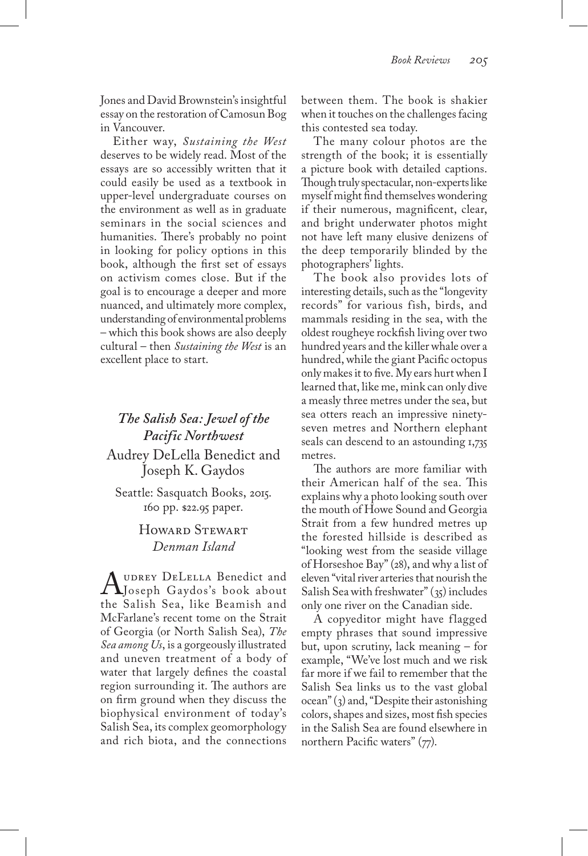Jones and David Brownstein's insightful essay on the restoration of Camosun Bog in Vancouver.

Either way, *Sustaining the West* deserves to be widely read. Most of the essays are so accessibly written that it could easily be used as a textbook in upper-level undergraduate courses on the environment as well as in graduate seminars in the social sciences and humanities. There's probably no point in looking for policy options in this book, although the first set of essays on activism comes close. But if the goal is to encourage a deeper and more nuanced, and ultimately more complex, understanding of environmental problems – which this book shows are also deeply cultural – then *Sustaining the West* is an excellent place to start.

# *The Salish Sea: Jewel of the Pacific Northwest*

Audrey DeLella Benedict and Joseph K. Gaydos

Seattle: Sasquatch Books, 2015. 160 pp. \$22.95 paper.

### Howard Stewart *Denman Island*

A UDREY DELELLA Benedict and<br>Joseph Gaydos's book about<br>the Salish Sea, like Beamish and the Salish Sea, like Beamish and McFarlane's recent tome on the Strait of Georgia (or North Salish Sea), *The Sea among Us*, is a gorgeously illustrated and uneven treatment of a body of water that largely defines the coastal region surrounding it. The authors are on firm ground when they discuss the biophysical environment of today's Salish Sea, its complex geomorphology and rich biota, and the connections

between them. The book is shakier when it touches on the challenges facing this contested sea today.

The many colour photos are the strength of the book; it is essentially a picture book with detailed captions. Though truly spectacular, non-experts like myself might find themselves wondering if their numerous, magnificent, clear, and bright underwater photos might not have left many elusive denizens of the deep temporarily blinded by the photographers' lights.

The book also provides lots of interesting details, such as the "longevity records" for various fish, birds, and mammals residing in the sea, with the oldest rougheye rockfish living over two hundred years and the killer whale over a hundred, while the giant Pacific octopus only makes it to five. My ears hurt when I learned that, like me, mink can only dive a measly three metres under the sea, but sea otters reach an impressive ninetyseven metres and Northern elephant seals can descend to an astounding 1,735 metres.

The authors are more familiar with their American half of the sea. This explains why a photo looking south over the mouth of Howe Sound and Georgia Strait from a few hundred metres up the forested hillside is described as "looking west from the seaside village of Horseshoe Bay" (28), and why a list of eleven "vital river arteries that nourish the Salish Sea with freshwater" (35) includes only one river on the Canadian side.

A copyeditor might have flagged empty phrases that sound impressive but, upon scrutiny, lack meaning – for example, "We've lost much and we risk far more if we fail to remember that the Salish Sea links us to the vast global ocean" (3) and, "Despite their astonishing colors, shapes and sizes, most fish species in the Salish Sea are found elsewhere in northern Pacific waters" (77).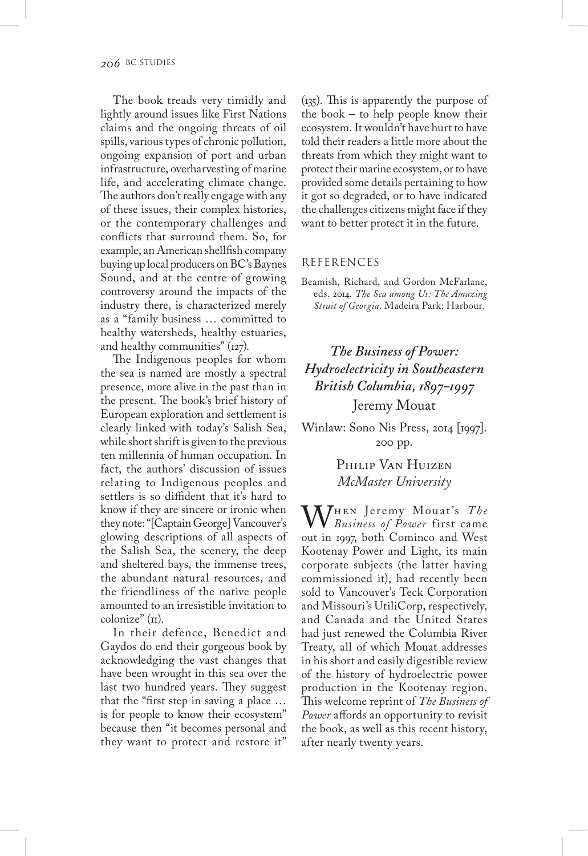The book treads very timidly and lightly around issues like First Nations claims and the ongoing threats of oil spills, various types of chronic pollution, ongoing expansion of port and urban infrastructure, overharvesting of marine life, and accelerating climate change. The authors don't really engage with any of these issues, their complex histories, or the contemporary challenges and conflicts that surround them. So, for example, an American shellfish company buying up local producers on BC's Baynes Sound, and at the centre of growing controversy around the impacts of the industry there, is characterized merely as a "family business … committed to healthy watersheds, healthy estuaries, and healthy communities" (127)*.*

The Indigenous peoples for whom the sea is named are mostly a spectral presence, more alive in the past than in the present. The book's brief history of European exploration and settlement is clearly linked with today's Salish Sea, while short shrift is given to the previous ten millennia of human occupation. In fact, the authors' discussion of issues relating to Indigenous peoples and settlers is so diffident that it's hard to know if they are sincere or ironic when they note: "[Captain George] Vancouver's glowing descriptions of all aspects of the Salish Sea, the scenery, the deep and sheltered bays, the immense trees, the abundant natural resources, and the friendliness of the native people amounted to an irresistible invitation to  $coloring$  $\alpha$  ( $\pi$ ).

In their defence, Benedict and Gaydos do end their gorgeous book by acknowledging the vast changes that have been wrought in this sea over the last two hundred years. They suggest that the "first step in saving a place … is for people to know their ecosystem" because then "it becomes personal and they want to protect and restore it" (135). This is apparently the purpose of the book – to help people know their ecosystem. It wouldn't have hurt to have told their readers a little more about the threats from which they might want to protect their marine ecosystem, or to have provided some details pertaining to how it got so degraded, or to have indicated the challenges citizens might face if they want to better protect it in the future.

#### REFERENCES

Beamish, Richard, and Gordon McFarlane, eds. 2014. *The Sea among Us: The Amazing Strait of Georgia.* Madeira Park: Harbour.

# *The Business of Power: Hydroelectricity in Southeastern British Columbia, 1897-1997* Jeremy Mouat

Winlaw: Sono Nis Press, 2014 [1997]. 200 pp.

> Philip Van Huizen *McMaster University*

When Jeremy Mouat's *The Business of Power* first came out in 1997, both Cominco and West Kootenay Power and Light, its main corporate subjects (the latter having commissioned it), had recently been sold to Vancouver's Teck Corporation and Missouri's UtiliCorp, respectively, and Canada and the United States had just renewed the Columbia River Treaty, all of which Mouat addresses in his short and easily digestible review of the history of hydroelectric power production in the Kootenay region. This welcome reprint of *The Business of Power* affords an opportunity to revisit the book, as well as this recent history, after nearly twenty years.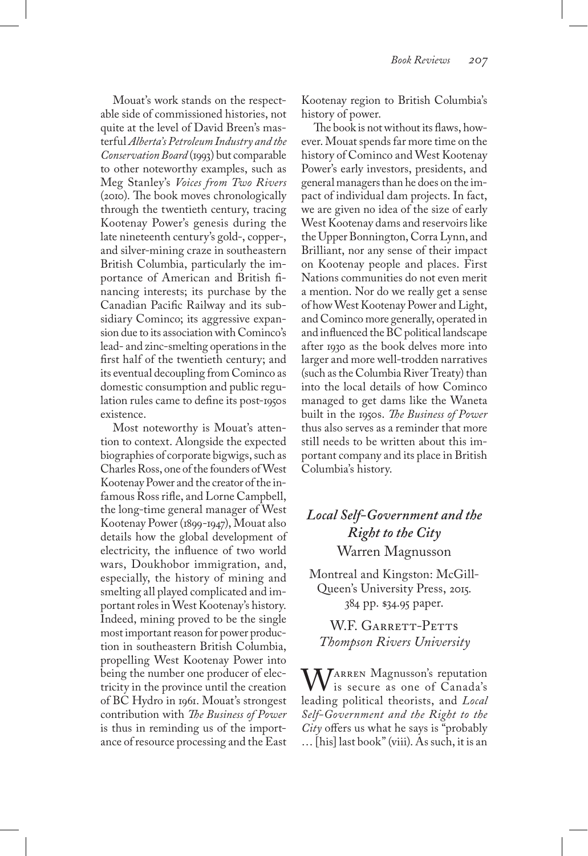Mouat's work stands on the respectable side of commissioned histories, not quite at the level of David Breen's masterful *Alberta's Petroleum Industry and the Conservation Board* (1993) but comparable to other noteworthy examples, such as Meg Stanley's *Voices from Two Rivers* (2010). The book moves chronologically through the twentieth century, tracing Kootenay Power's genesis during the late nineteenth century's gold-, copper-, and silver-mining craze in southeastern British Columbia, particularly the importance of American and British financing interests; its purchase by the Canadian Pacific Railway and its subsidiary Cominco; its aggressive expansion due to its association with Cominco's lead- and zinc-smelting operations in the first half of the twentieth century; and its eventual decoupling from Cominco as domestic consumption and public regulation rules came to define its post-1950s existence.

Most noteworthy is Mouat's attention to context. Alongside the expected biographies of corporate bigwigs, such as Charles Ross, one of the founders of West Kootenay Power and the creator of the infamous Ross rifle, and Lorne Campbell, the long-time general manager of West Kootenay Power (1899-1947), Mouat also details how the global development of electricity, the influence of two world wars, Doukhobor immigration, and, especially, the history of mining and smelting all played complicated and important roles in West Kootenay's history. Indeed, mining proved to be the single most important reason for power production in southeastern British Columbia, propelling West Kootenay Power into being the number one producer of electricity in the province until the creation of BC Hydro in 1961. Mouat's strongest contribution with *The Business of Power* is thus in reminding us of the importance of resource processing and the East

Kootenay region to British Columbia's history of power.

The book is not without its flaws, however. Mouat spends far more time on the history of Cominco and West Kootenay Power's early investors, presidents, and general managers than he does on the impact of individual dam projects. In fact, we are given no idea of the size of early West Kootenay dams and reservoirs like the Upper Bonnington, Corra Lynn, and Brilliant, nor any sense of their impact on Kootenay people and places. First Nations communities do not even merit a mention. Nor do we really get a sense of how West Kootenay Power and Light, and Cominco more generally, operated in and influenced the BC political landscape after 1930 as the book delves more into larger and more well-trodden narratives (such as the Columbia River Treaty) than into the local details of how Cominco managed to get dams like the Waneta built in the 1950s. *The Business of Power* thus also serves as a reminder that more still needs to be written about this important company and its place in British Columbia's history.

## *Local Self-Government and the Right to the City* Warren Magnusson

Montreal and Kingston: McGill-Queen's University Press, 2015. 384 pp. \$34.95 paper.

W.F. GARRETT-PETTS *Thompson Rivers University*

MARREN Magnusson's reputation is secure as one of Canada's leading political theorists, and *Local Self-Government and the Right to the City* offers us what he says is "probably … [his] last book" (viii). As such, it is an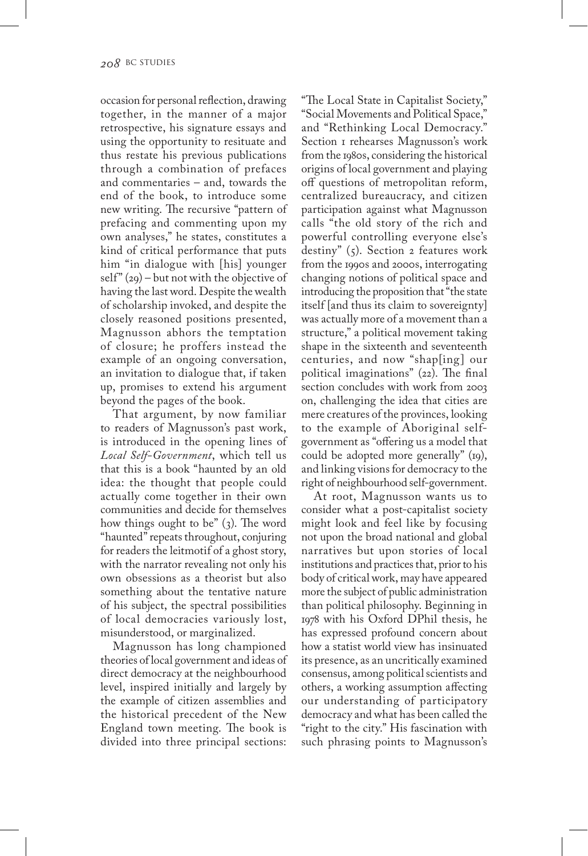occasion for personal reflection, drawing together, in the manner of a major retrospective, his signature essays and using the opportunity to resituate and thus restate his previous publications through a combination of prefaces and commentaries – and, towards the end of the book, to introduce some new writing. The recursive "pattern of prefacing and commenting upon my own analyses," he states, constitutes a kind of critical performance that puts him "in dialogue with [his] younger self"  $(29)$  – but not with the objective of having the last word. Despite the wealth of scholarship invoked, and despite the closely reasoned positions presented, Magnusson abhors the temptation of closure; he proffers instead the example of an ongoing conversation, an invitation to dialogue that, if taken up, promises to extend his argument beyond the pages of the book.

That argument, by now familiar to readers of Magnusson's past work, is introduced in the opening lines of *Local Self-Government*, which tell us that this is a book "haunted by an old idea: the thought that people could actually come together in their own communities and decide for themselves how things ought to be" (3). The word "haunted" repeats throughout, conjuring for readers the leitmotif of a ghost story, with the narrator revealing not only his own obsessions as a theorist but also something about the tentative nature of his subject, the spectral possibilities of local democracies variously lost, misunderstood, or marginalized.

Magnusson has long championed theories of local government and ideas of direct democracy at the neighbourhood level, inspired initially and largely by the example of citizen assemblies and the historical precedent of the New England town meeting. The book is divided into three principal sections:

"The Local State in Capitalist Society," "Social Movements and Political Space," and "Rethinking Local Democracy." Section 1 rehearses Magnusson's work from the 1980s, considering the historical origins of local government and playing off questions of metropolitan reform, centralized bureaucracy, and citizen participation against what Magnusson calls "the old story of the rich and powerful controlling everyone else's destiny"  $(5)$ . Section 2 features work from the 1990s and 2000s, interrogating changing notions of political space and introducing the proposition that "the state itself [and thus its claim to sovereignty] was actually more of a movement than a structure," a political movement taking shape in the sixteenth and seventeenth centuries, and now "shap[ing] our political imaginations" (22). The final section concludes with work from 2003 on, challenging the idea that cities are mere creatures of the provinces, looking to the example of Aboriginal selfgovernment as "offering us a model that could be adopted more generally" (19), and linking visions for democracy to the right of neighbourhood self-government.

At root, Magnusson wants us to consider what a post-capitalist society might look and feel like by focusing not upon the broad national and global narratives but upon stories of local institutions and practices that, prior to his body of critical work, may have appeared more the subject of public administration than political philosophy. Beginning in 1978 with his Oxford DPhil thesis, he has expressed profound concern about how a statist world view has insinuated its presence, as an uncritically examined consensus, among political scientists and others, a working assumption affecting our understanding of participatory democracy and what has been called the "right to the city." His fascination with such phrasing points to Magnusson's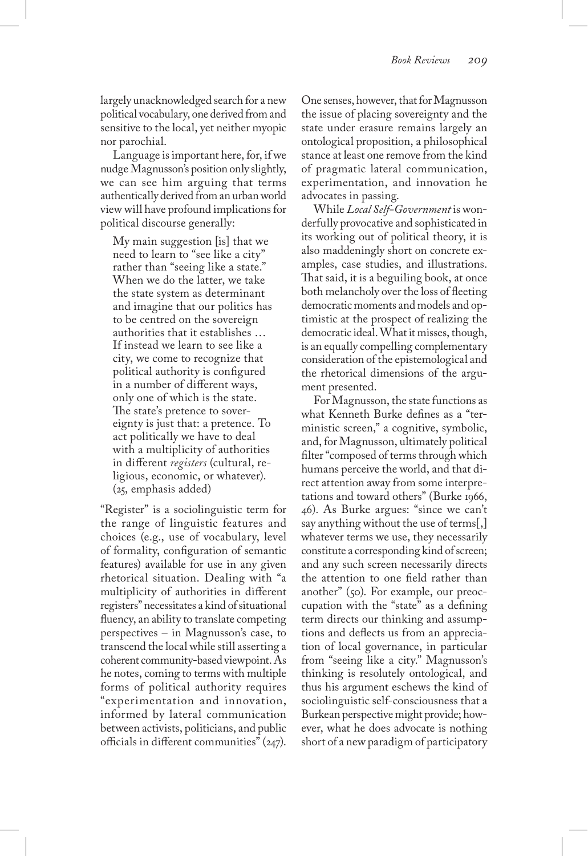largely unacknowledged search for a new political vocabulary, one derived from and sensitive to the local, yet neither myopic nor parochial.

Language is important here, for, if we nudge Magnusson's position only slightly, we can see him arguing that terms authentically derived from an urban world view will have profound implications for political discourse generally:

My main suggestion [is] that we need to learn to "see like a city" rather than "seeing like a state." When we do the latter, we take the state system as determinant and imagine that our politics has to be centred on the sovereign authorities that it establishes … If instead we learn to see like a city, we come to recognize that political authority is configured in a number of different ways, only one of which is the state. The state's pretence to sovereignty is just that: a pretence. To act politically we have to deal with a multiplicity of authorities in different *registers* (cultural, religious, economic, or whatever). (25, emphasis added)

"Register" is a sociolinguistic term for the range of linguistic features and choices (e.g., use of vocabulary, level of formality, configuration of semantic features) available for use in any given rhetorical situation. Dealing with "a multiplicity of authorities in different registers" necessitates a kind of situational fluency, an ability to translate competing perspectives – in Magnusson's case, to transcend the local while still asserting a coherent community-based viewpoint. As he notes, coming to terms with multiple forms of political authority requires "experimentation and innovation, informed by lateral communication between activists, politicians, and public officials in different communities" (247).

One senses, however, that for Magnusson the issue of placing sovereignty and the state under erasure remains largely an ontological proposition, a philosophical stance at least one remove from the kind of pragmatic lateral communication, experimentation, and innovation he advocates in passing.

While *Local Self-Government* is wonderfully provocative and sophisticated in its working out of political theory, it is also maddeningly short on concrete examples, case studies, and illustrations. That said, it is a beguiling book, at once both melancholy over the loss of fleeting democratic moments and models and optimistic at the prospect of realizing the democratic ideal. What it misses, though, is an equally compelling complementary consideration of the epistemological and the rhetorical dimensions of the argument presented.

For Magnusson, the state functions as what Kenneth Burke defines as a "terministic screen," a cognitive, symbolic, and, for Magnusson, ultimately political filter "composed of terms through which humans perceive the world, and that direct attention away from some interpretations and toward others" (Burke 1966, 46). As Burke argues: "since we can't say anything without the use of terms[,] whatever terms we use, they necessarily constitute a corresponding kind of screen; and any such screen necessarily directs the attention to one field rather than another" (50). For example, our preoccupation with the "state" as a defining term directs our thinking and assumptions and deflects us from an appreciation of local governance, in particular from "seeing like a city." Magnusson's thinking is resolutely ontological, and thus his argument eschews the kind of sociolinguistic self-consciousness that a Burkean perspective might provide; however, what he does advocate is nothing short of a new paradigm of participatory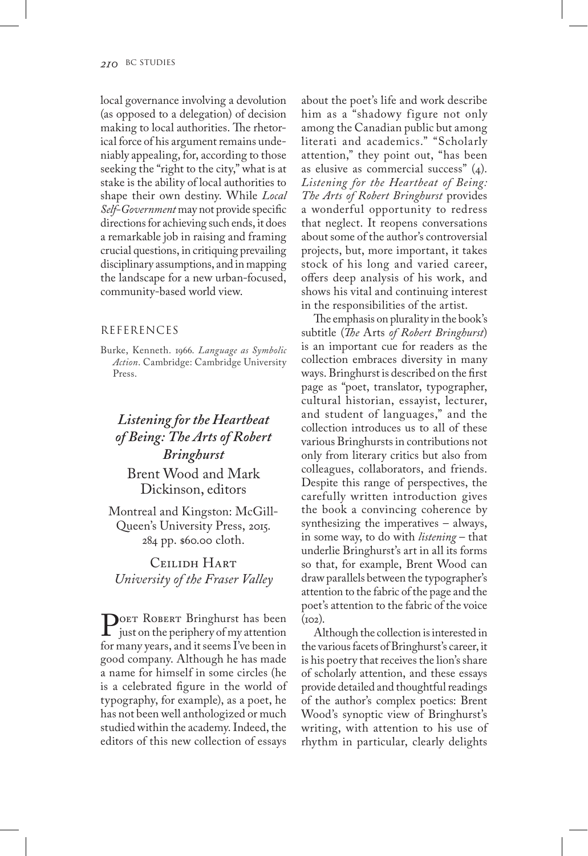local governance involving a devolution (as opposed to a delegation) of decision making to local authorities. The rhetorical force of his argument remains undeniably appealing, for, according to those seeking the "right to the city," what is at stake is the ability of local authorities to shape their own destiny. While *Local Self-Government* may not provide specific directions for achieving such ends, it does a remarkable job in raising and framing crucial questions, in critiquing prevailing disciplinary assumptions, and in mapping the landscape for a new urban-focused, community-based world view.

#### REFERENCES

Burke, Kenneth. 1966. *Language as Symbolic Action*. Cambridge: Cambridge University Press.

# *Listening for the Heartbeat of Being: The Arts of Robert Bringhurst*

## Brent Wood and Mark Dickinson, editors

Montreal and Kingston: McGill-Queen's University Press, 2015. 284 pp. \$60.00 cloth.

Ceilidh Hart *University of the Fraser Valley*

POET ROBERT Bringhurst has been<br>just on the periphery of my attention<br>for many years, and it seems I've been in for many years, and it seems I've been in good company. Although he has made a name for himself in some circles (he is a celebrated figure in the world of typography, for example), as a poet, he has not been well anthologized or much studied within the academy. Indeed, the editors of this new collection of essays

about the poet's life and work describe him as a "shadowy figure not only among the Canadian public but among literati and academics." "Scholarly attention," they point out, "has been as elusive as commercial success" (4). *Listening for the Heartbeat of Being: The Arts of Robert Bringhurst* provides a wonderful opportunity to redress that neglect. It reopens conversations about some of the author's controversial projects, but, more important, it takes stock of his long and varied career, offers deep analysis of his work, and shows his vital and continuing interest in the responsibilities of the artist.

The emphasis on plurality in the book's subtitle (*The* Arts *of Robert Bringhurst*) is an important cue for readers as the collection embraces diversity in many ways. Bringhurst is described on the first page as "poet, translator, typographer, cultural historian, essayist, lecturer, and student of languages," and the collection introduces us to all of these various Bringhursts in contributions not only from literary critics but also from colleagues, collaborators, and friends. Despite this range of perspectives, the carefully written introduction gives the book a convincing coherence by synthesizing the imperatives – always, in some way, to do with *listening* – that underlie Bringhurst's art in all its forms so that, for example, Brent Wood can draw parallels between the typographer's attention to the fabric of the page and the poet's attention to the fabric of the voice  $(102)$ .

Although the collection is interested in the various facets of Bringhurst's career, it is his poetry that receives the lion's share of scholarly attention, and these essays provide detailed and thoughtful readings of the author's complex poetics: Brent Wood's synoptic view of Bringhurst's writing, with attention to his use of rhythm in particular, clearly delights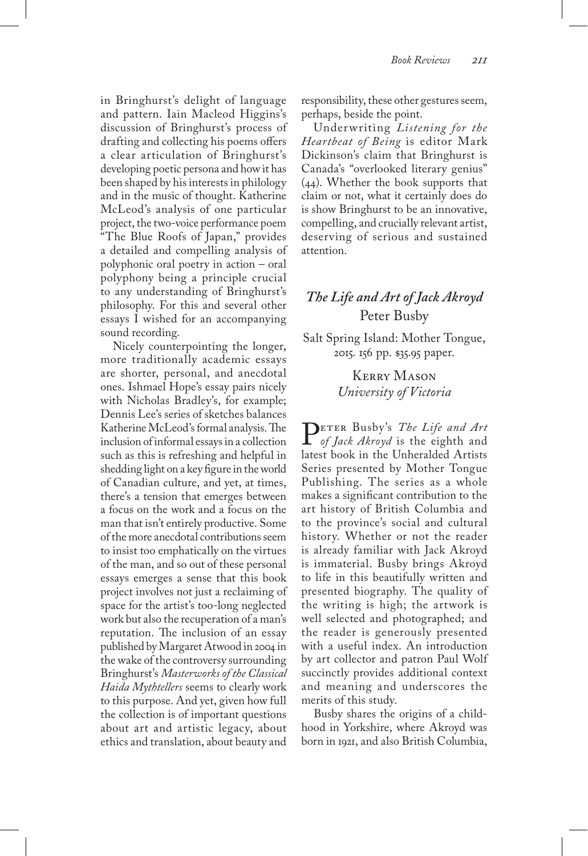in Bringhurst's delight of language and pattern. Iain Macleod Higgins's discussion of Bringhurst's process of drafting and collecting his poems offers a clear articulation of Bringhurst's developing poetic persona and how it has been shaped by his interests in philology and in the music of thought. Katherine McLeod's analysis of one particular project, the two-voice performance poem "The Blue Roofs of Japan," provides a detailed and compelling analysis of polyphonic oral poetry in action – oral polyphony being a principle crucial to any understanding of Bringhurst's philosophy. For this and several other essays I wished for an accompanying sound recording.

Nicely counterpointing the longer, more traditionally academic essays are shorter, personal, and anecdotal ones. Ishmael Hope's essay pairs nicely with Nicholas Bradley's, for example; Dennis Lee's series of sketches balances Katherine McLeod's formal analysis. The inclusion of informal essays in a collection such as this is refreshing and helpful in shedding light on a key figure in the world of Canadian culture, and yet, at times, there's a tension that emerges between a focus on the work and a focus on the man that isn't entirely productive. Some of the more anecdotal contributions seem to insist too emphatically on the virtues of the man, and so out of these personal essays emerges a sense that this book project involves not just a reclaiming of space for the artist's too-long neglected work but also the recuperation of a man's reputation. The inclusion of an essay published by Margaret Atwood in 2004 in the wake of the controversy surrounding Bringhurst's *Masterworks of the Classical Haida Mythtellers* seems to clearly work to this purpose. And yet, given how full the collection is of important questions about art and artistic legacy, about ethics and translation, about beauty and

responsibility, these other gestures seem, perhaps, beside the point.

Underwriting *Listening for the Heartbeat of Being* is editor Mark Dickinson's claim that Bringhurst is Canada's "overlooked literary genius" (44). Whether the book supports that claim or not, what it certainly does do is show Bringhurst to be an innovative, compelling, and crucially relevant artist, deserving of serious and sustained attention.

## *The Life and Art of Jack Akroyd* Peter Busby

Salt Spring Island: Mother Tongue, 2015. 156 pp. \$35.95 paper.

> Kerry Mason *University of Victoria*

Peter Busby's *The Life and Art of Jack Akroyd* is the eighth and latest book in the Unheralded Artists Series presented by Mother Tongue Publishing. The series as a whole makes a significant contribution to the art history of British Columbia and to the province's social and cultural history. Whether or not the reader is already familiar with Jack Akroyd is immaterial. Busby brings Akroyd to life in this beautifully written and presented biography. The quality of the writing is high; the artwork is well selected and photographed; and the reader is generously presented with a useful index. An introduction by art collector and patron Paul Wolf succinctly provides additional context and meaning and underscores the merits of this study.

Busby shares the origins of a childhood in Yorkshire, where Akroyd was born in 1921, and also British Columbia,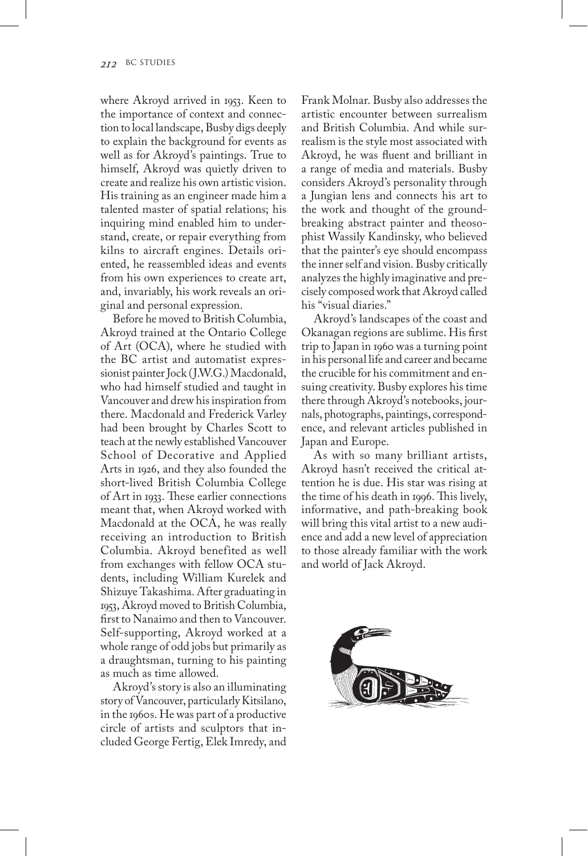where Akroyd arrived in 1953. Keen to the importance of context and connection to local landscape, Busby digs deeply to explain the background for events as well as for Akroyd's paintings. True to himself, Akroyd was quietly driven to create and realize his own artistic vision. His training as an engineer made him a talented master of spatial relations; his inquiring mind enabled him to understand, create, or repair everything from kilns to aircraft engines. Details oriented, he reassembled ideas and events from his own experiences to create art, and, invariably, his work reveals an original and personal expression.

Before he moved to British Columbia, Akroyd trained at the Ontario College of Art (OCA), where he studied with the BC artist and automatist expressionist painter Jock (J.W.G.) Macdonald, who had himself studied and taught in Vancouver and drew his inspiration from there. Macdonald and Frederick Varley had been brought by Charles Scott to teach at the newly established Vancouver School of Decorative and Applied Arts in 1926, and they also founded the short-lived British Columbia College of Art in 1933. These earlier connections meant that, when Akroyd worked with Macdonald at the OCA, he was really receiving an introduction to British Columbia. Akroyd benefited as well from exchanges with fellow OCA students, including William Kurelek and Shizuye Takashima. After graduating in 1953, Akroyd moved to British Columbia, first to Nanaimo and then to Vancouver. Self-supporting, Akroyd worked at a whole range of odd jobs but primarily as a draughtsman, turning to his painting as much as time allowed.

Akroyd's story is also an illuminating story of Vancouver, particularly Kitsilano, in the 1960s. He was part of a productive circle of artists and sculptors that included George Fertig, Elek Imredy, and Frank Molnar. Busby also addresses the artistic encounter between surrealism and British Columbia. And while surrealism is the style most associated with Akroyd, he was fluent and brilliant in a range of media and materials. Busby considers Akroyd's personality through a Jungian lens and connects his art to the work and thought of the groundbreaking abstract painter and theosophist Wassily Kandinsky, who believed that the painter's eye should encompass the inner self and vision. Busby critically analyzes the highly imaginative and precisely composed work that Akroyd called his "visual diaries."

Akroyd's landscapes of the coast and Okanagan regions are sublime. His first trip to Japan in 1960 was a turning point in his personal life and career and became the crucible for his commitment and ensuing creativity. Busby explores his time there through Akroyd's notebooks, journals, photographs, paintings, correspondence, and relevant articles published in Japan and Europe.

As with so many brilliant artists, Akroyd hasn't received the critical attention he is due. His star was rising at the time of his death in 1996. This lively, informative, and path-breaking book will bring this vital artist to a new audience and add a new level of appreciation to those already familiar with the work and world of Jack Akroyd.

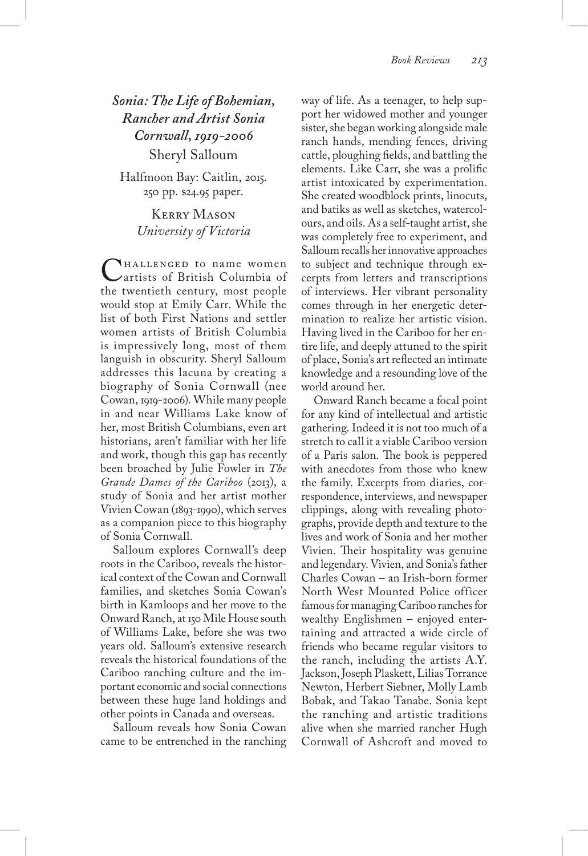*Sonia: The Life of Bohemian, Rancher and Artist Sonia Cornwall, 1919-2006* Sheryl Salloum

Halfmoon Bay: Caitlin, 2015. 250 pp. \$24.95 paper.

> Kerry Mason *University of Victoria*

NHALLENGED to name women artists of British Columbia of the twentieth century, most people would stop at Emily Carr. While the list of both First Nations and settler women artists of British Columbia is impressively long, most of them languish in obscurity. Sheryl Salloum addresses this lacuna by creating a biography of Sonia Cornwall (nee Cowan, 1919-2006). While many people in and near Williams Lake know of her, most British Columbians, even art historians, aren't familiar with her life and work, though this gap has recently been broached by Julie Fowler in *The Grande Dames of the Cariboo* (2013), a study of Sonia and her artist mother Vivien Cowan (1893-1990), which serves as a companion piece to this biography of Sonia Cornwall.

Salloum explores Cornwall's deep roots in the Cariboo, reveals the historical context of the Cowan and Cornwall families, and sketches Sonia Cowan's birth in Kamloops and her move to the Onward Ranch, at 150 Mile House south of Williams Lake, before she was two years old. Salloum's extensive research reveals the historical foundations of the Cariboo ranching culture and the important economic and social connections between these huge land holdings and other points in Canada and overseas.

Salloum reveals how Sonia Cowan came to be entrenched in the ranching way of life. As a teenager, to help support her widowed mother and younger sister, she began working alongside male ranch hands, mending fences, driving cattle, ploughing fields, and battling the elements. Like Carr, she was a prolific artist intoxicated by experimentation. She created woodblock prints, linocuts, and batiks as well as sketches, watercolours, and oils. As a self-taught artist, she was completely free to experiment, and Salloum recalls her innovative approaches to subject and technique through excerpts from letters and transcriptions of interviews. Her vibrant personality comes through in her energetic determination to realize her artistic vision. Having lived in the Cariboo for her entire life, and deeply attuned to the spirit of place, Sonia's art reflected an intimate knowledge and a resounding love of the world around her.

Onward Ranch became a focal point for any kind of intellectual and artistic gathering. Indeed it is not too much of a stretch to call it a viable Cariboo version of a Paris salon. The book is peppered with anecdotes from those who knew the family. Excerpts from diaries, correspondence, interviews, and newspaper clippings, along with revealing photographs, provide depth and texture to the lives and work of Sonia and her mother Vivien. Their hospitality was genuine and legendary. Vivien, and Sonia's father Charles Cowan – an Irish-born former North West Mounted Police officer famous for managing Cariboo ranches for wealthy Englishmen – enjoyed entertaining and attracted a wide circle of friends who became regular visitors to the ranch, including the artists A.Y. Jackson, Joseph Plaskett, Lilias Torrance Newton, Herbert Siebner, Molly Lamb Bobak, and Takao Tanabe. Sonia kept the ranching and artistic traditions alive when she married rancher Hugh Cornwall of Ashcroft and moved to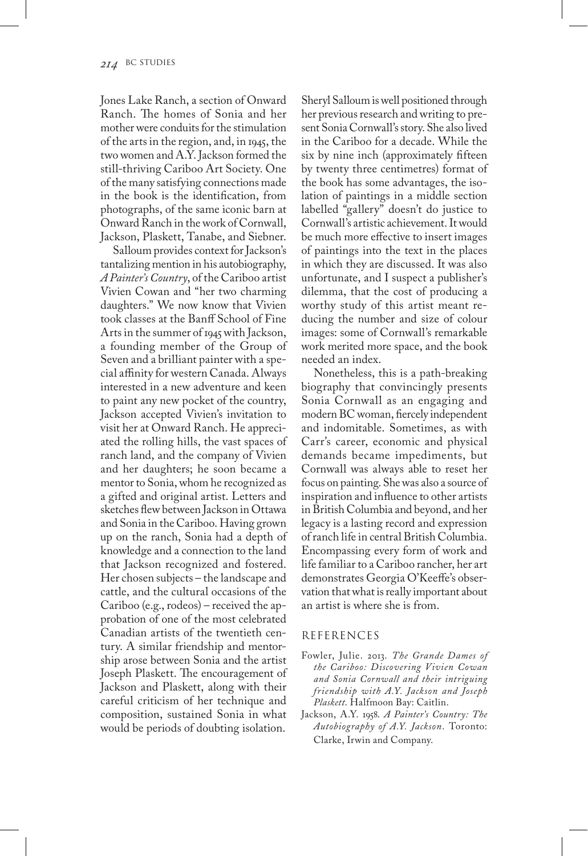Jones Lake Ranch, a section of Onward Ranch. The homes of Sonia and her mother were conduits for the stimulation of the arts in the region, and, in 1945, the two women and A.Y. Jackson formed the still-thriving Cariboo Art Society. One of the many satisfying connections made in the book is the identification, from photographs, of the same iconic barn at Onward Ranch in the work of Cornwall, Jackson, Plaskett, Tanabe, and Siebner.

Salloum provides context for Jackson's tantalizing mention in his autobiography, *A Painter's Country*, of the Cariboo artist Vivien Cowan and "her two charming daughters." We now know that Vivien took classes at the Banff School of Fine Arts in the summer of 1945 with Jackson, a founding member of the Group of Seven and a brilliant painter with a special affinity for western Canada. Always interested in a new adventure and keen to paint any new pocket of the country, Jackson accepted Vivien's invitation to visit her at Onward Ranch. He appreciated the rolling hills, the vast spaces of ranch land, and the company of Vivien and her daughters; he soon became a mentor to Sonia, whom he recognized as a gifted and original artist. Letters and sketches flew between Jackson in Ottawa and Sonia in the Cariboo. Having grown up on the ranch, Sonia had a depth of knowledge and a connection to the land that Jackson recognized and fostered. Her chosen subjects – the landscape and cattle, and the cultural occasions of the Cariboo (e.g., rodeos) – received the approbation of one of the most celebrated Canadian artists of the twentieth century. A similar friendship and mentorship arose between Sonia and the artist Joseph Plaskett. The encouragement of Jackson and Plaskett, along with their careful criticism of her technique and composition, sustained Sonia in what would be periods of doubting isolation.

Sheryl Salloum is well positioned through her previous research and writing to present Sonia Cornwall's story. She also lived in the Cariboo for a decade. While the six by nine inch (approximately fifteen by twenty three centimetres) format of the book has some advantages, the isolation of paintings in a middle section labelled "gallery" doesn't do justice to Cornwall's artistic achievement. It would be much more effective to insert images of paintings into the text in the places in which they are discussed. It was also unfortunate, and I suspect a publisher's dilemma, that the cost of producing a worthy study of this artist meant reducing the number and size of colour images: some of Cornwall's remarkable work merited more space, and the book needed an index.

Nonetheless, this is a path-breaking biography that convincingly presents Sonia Cornwall as an engaging and modern BC woman, fiercely independent and indomitable. Sometimes, as with Carr's career, economic and physical demands became impediments, but Cornwall was always able to reset her focus on painting. She was also a source of inspiration and influence to other artists in British Columbia and beyond, and her legacy is a lasting record and expression of ranch life in central British Columbia. Encompassing every form of work and life familiar to a Cariboo rancher, her art demonstrates Georgia O'Keeffe's observation that what is really important about an artist is where she is from.

#### **REFERENCES**

- Fowler, Julie. 2013. *The Grande Dames of the Cariboo: Discovering Vivien Cowan and Sonia Cornwall and their intriguing friendship with A.Y. Jackson and Joseph Plaskett*. Halfmoon Bay: Caitlin.
- Jackson, A.Y. 1958. *A Painter's Country: The Autobiography of A.Y. Jackson*. Toronto: Clarke, Irwin and Company.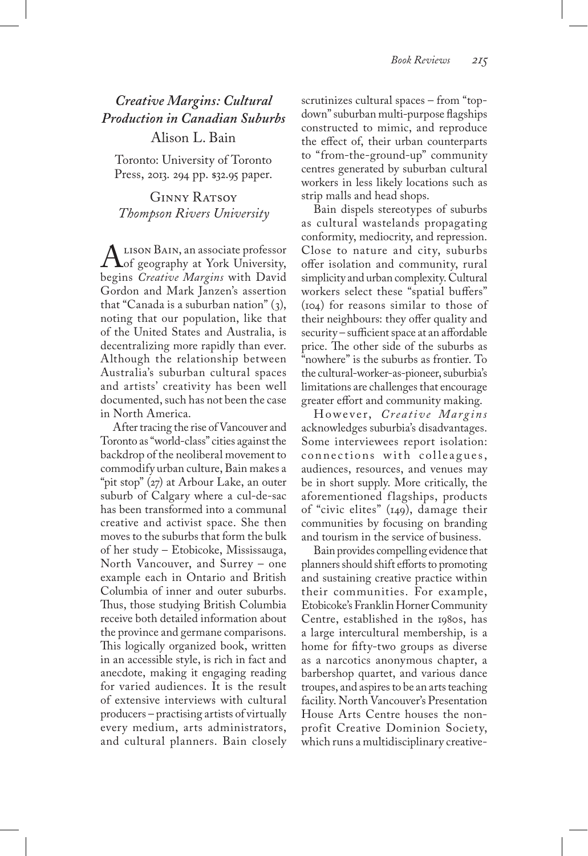*Creative Margins: Cultural Production in Canadian Suburbs* Alison L. Bain

Toronto: University of Toronto Press, 2013. 294 pp. \$32.95 paper.

GINNY RATSOY *Thompson Rivers University*

 $\Lambda$  Lison Bain, an associate professor<br>begins *Creative Margin*s with David begins *Creative Margins* with David Gordon and Mark Janzen's assertion that "Canada is a suburban nation" (3), noting that our population, like that of the United States and Australia, is decentralizing more rapidly than ever. Although the relationship between Australia's suburban cultural spaces and artists' creativity has been well documented, such has not been the case in North America.

After tracing the rise of Vancouver and Toronto as "world-class" cities against the backdrop of the neoliberal movement to commodify urban culture, Bain makes a "pit stop" (27) at Arbour Lake, an outer suburb of Calgary where a cul-de-sac has been transformed into a communal creative and activist space. She then moves to the suburbs that form the bulk of her study – Etobicoke, Mississauga, North Vancouver, and Surrey – one example each in Ontario and British Columbia of inner and outer suburbs. Thus, those studying British Columbia receive both detailed information about the province and germane comparisons. This logically organized book, written in an accessible style, is rich in fact and anecdote, making it engaging reading for varied audiences. It is the result of extensive interviews with cultural producers – practising artists of virtually every medium, arts administrators, and cultural planners. Bain closely

scrutinizes cultural spaces – from "topdown" suburban multi-purpose flagships constructed to mimic, and reproduce the effect of, their urban counterparts to "from-the-ground-up" community centres generated by suburban cultural workers in less likely locations such as strip malls and head shops.

Bain dispels stereotypes of suburbs as cultural wastelands propagating conformity, mediocrity, and repression. Close to nature and city, suburbs offer isolation and community, rural simplicity and urban complexity. Cultural workers select these "spatial buffers" (104) for reasons similar to those of their neighbours: they offer quality and security – sufficient space at an affordable price. The other side of the suburbs as "nowhere" is the suburbs as frontier. To the cultural-worker-as-pioneer, suburbia's limitations are challenges that encourage greater effort and community making.

However, *Creative Margins* acknowledges suburbia's disadvantages. Some interviewees report isolation: connections with colleagues, audiences, resources, and venues may be in short supply. More critically, the aforementioned flagships, products of "civic elites" (149), damage their communities by focusing on branding and tourism in the service of business.

Bain provides compelling evidence that planners should shift efforts to promoting and sustaining creative practice within their communities. For example, Etobicoke's Franklin Horner Community Centre, established in the 1980s, has a large intercultural membership, is a home for fifty-two groups as diverse as a narcotics anonymous chapter, a barbershop quartet, and various dance troupes, and aspires to be an arts teaching facility. North Vancouver's Presentation House Arts Centre houses the nonprofit Creative Dominion Society, which runs a multidisciplinary creative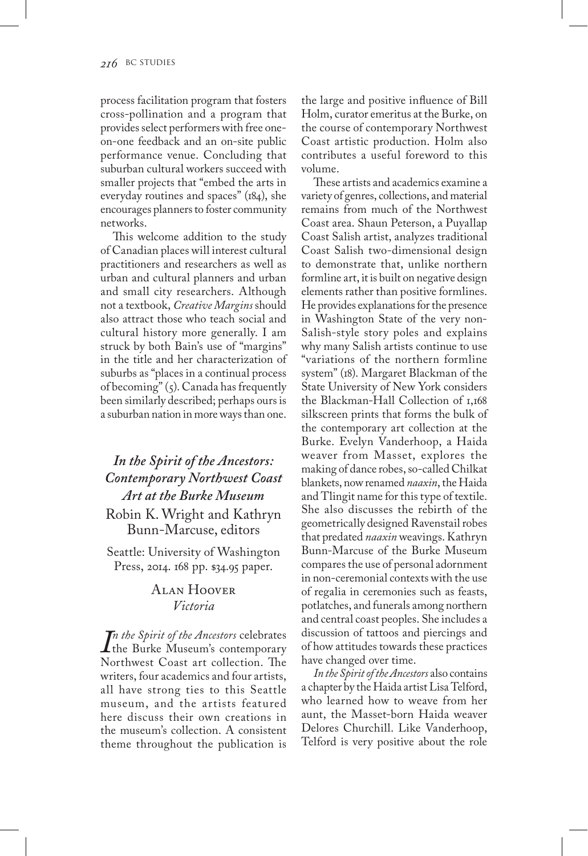process facilitation program that fosters cross-pollination and a program that provides select performers with free oneon-one feedback and an on-site public performance venue. Concluding that suburban cultural workers succeed with smaller projects that "embed the arts in everyday routines and spaces" (184), she encourages planners to foster community networks.

This welcome addition to the study of Canadian places will interest cultural practitioners and researchers as well as urban and cultural planners and urban and small city researchers. Although not a textbook, *Creative Margins* should also attract those who teach social and cultural history more generally. I am struck by both Bain's use of "margins" in the title and her characterization of suburbs as "places in a continual process of becoming"  $(5)$ . Canada has frequently been similarly described; perhaps ours is a suburban nation in more ways than one.

## *In the Spirit of the Ancestors: Contemporary Northwest Coast Art at the Burke Museum*

Robin K. Wright and Kathryn Bunn-Marcuse, editors

Seattle: University of Washington Press, 2014. 168 pp. \$34.95 paper.

## Alan Hoover *Victoria*

*In the Spirit of the Ancestors* celebrates<br>
the Burke Museum's contemporary *n the Spirit of the Ancestors* celebrates Northwest Coast art collection. The writers, four academics and four artists, all have strong ties to this Seattle museum, and the artists featured here discuss their own creations in the museum's collection. A consistent theme throughout the publication is

the large and positive influence of Bill Holm, curator emeritus at the Burke, on the course of contemporary Northwest Coast artistic production. Holm also contributes a useful foreword to this volume.

These artists and academics examine a variety of genres, collections, and material remains from much of the Northwest Coast area. Shaun Peterson, a Puyallap Coast Salish artist, analyzes traditional Coast Salish two-dimensional design to demonstrate that, unlike northern formline art, it is built on negative design elements rather than positive formlines. He provides explanations for the presence in Washington State of the very non-Salish-style story poles and explains why many Salish artists continue to use "variations of the northern formline system" (18). Margaret Blackman of the State University of New York considers the Blackman-Hall Collection of 1,168 silkscreen prints that forms the bulk of the contemporary art collection at the Burke. Evelyn Vanderhoop, a Haida weaver from Masset, explores the making of dance robes, so-called Chilkat blankets, now renamed *naaxin*, the Haida and Tlingit name for this type of textile. She also discusses the rebirth of the geometrically designed Ravenstail robes that predated *naaxin* weavings. Kathryn Bunn-Marcuse of the Burke Museum compares the use of personal adornment in non-ceremonial contexts with the use of regalia in ceremonies such as feasts, potlatches, and funerals among northern and central coast peoples. She includes a discussion of tattoos and piercings and of how attitudes towards these practices have changed over time.

*In the Spirit of the Ancestors* also contains a chapter by the Haida artist Lisa Telford, who learned how to weave from her aunt, the Masset-born Haida weaver Delores Churchill. Like Vanderhoop, Telford is very positive about the role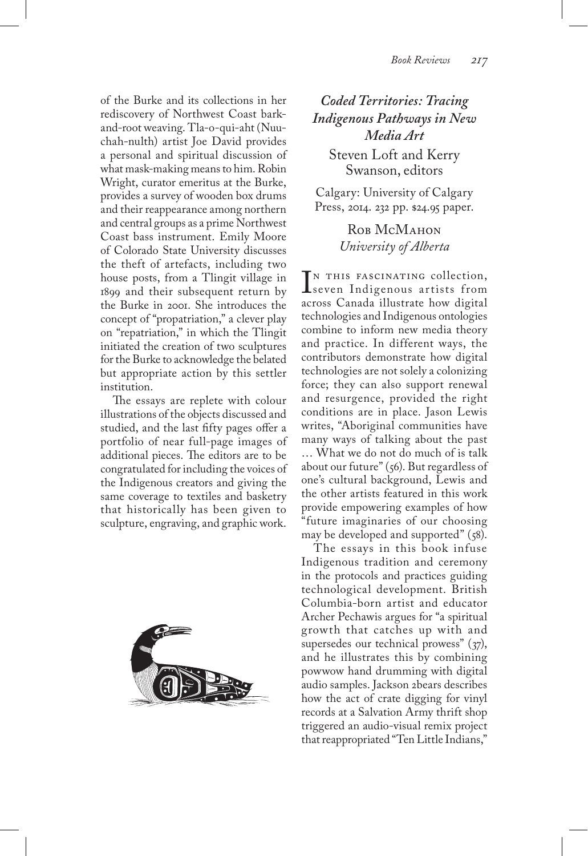of the Burke and its collections in her rediscovery of Northwest Coast barkand-root weaving. Tla-o-qui-aht (Nuuchah-nulth) artist Joe David provides a personal and spiritual discussion of what mask-making means to him. Robin Wright, curator emeritus at the Burke, provides a survey of wooden box drums and their reappearance among northern and central groups as a prime Northwest Coast bass instrument. Emily Moore of Colorado State University discusses the theft of artefacts, including two house posts, from a Tlingit village in 1899 and their subsequent return by the Burke in 2001. She introduces the concept of "propatriation," a clever play on "repatriation," in which the Tlingit initiated the creation of two sculptures for the Burke to acknowledge the belated but appropriate action by this settler institution.

The essays are replete with colour illustrations of the objects discussed and studied, and the last fifty pages offer a portfolio of near full-page images of additional pieces. The editors are to be congratulated for including the voices of the Indigenous creators and giving the same coverage to textiles and basketry that historically has been given to sculpture, engraving, and graphic work.



*Coded Territories: Tracing Indigenous Pathways in New Media Art* Steven Loft and Kerry Swanson, editors

Calgary: University of Calgary Press, 2014. 232 pp. \$24.95 paper.

> ROB MCMAHON *University of Alberta*

**IN THIS FASCINATING COLLECTION,**<br>seven Indigenous artists from<br>across Canada illustrate how digital IN THIS FASCINATING collection, across Canada illustrate how digital technologies and Indigenous ontologies combine to inform new media theory and practice. In different ways, the contributors demonstrate how digital technologies are not solely a colonizing force; they can also support renewal and resurgence, provided the right conditions are in place. Jason Lewis writes, "Aboriginal communities have many ways of talking about the past … What we do not do much of is talk about our future" (56). But regardless of one's cultural background, Lewis and the other artists featured in this work provide empowering examples of how "future imaginaries of our choosing may be developed and supported" (58).

The essays in this book infuse Indigenous tradition and ceremony in the protocols and practices guiding technological development. British Columbia-born artist and educator Archer Pechawis argues for "a spiritual growth that catches up with and supersedes our technical prowess" (37), and he illustrates this by combining powwow hand drumming with digital audio samples. Jackson 2bears describes how the act of crate digging for vinyl records at a Salvation Army thrift shop triggered an audio-visual remix project that reappropriated "Ten Little Indians,"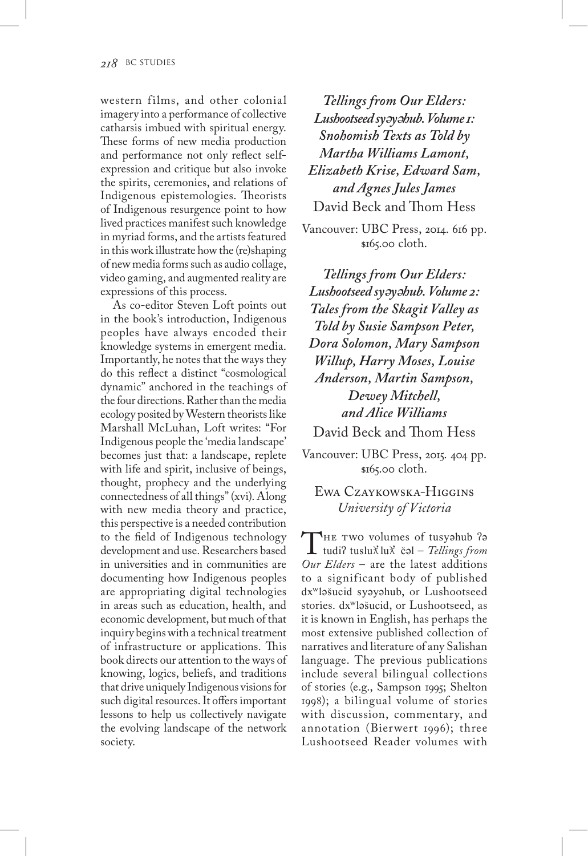western films, and other colonial imagery into a performance of collective catharsis imbued with spiritual energy. These forms of new media production and performance not only reflect selfexpression and critique but also invoke the spirits, ceremonies, and relations of Indigenous epistemologies. Theorists of Indigenous resurgence point to how lived practices manifest such knowledge in myriad forms, and the artists featured in this work illustrate how the (re)shaping of new media forms such as audio collage, video gaming, and augmented reality are expressions of this process.

As co-editor Steven Loft points out in the book's introduction, Indigenous peoples have always encoded their knowledge systems in emergent media. Importantly, he notes that the ways they do this reflect a distinct "cosmological dynamic" anchored in the teachings of the four directions. Rather than the media ecology posited by Western theorists like Marshall McLuhan, Loft writes: "For Indigenous people the 'media landscape' becomes just that: a landscape, replete with life and spirit, inclusive of beings, thought, prophecy and the underlying connectedness of all things" (xvi). Along with new media theory and practice, this perspective is a needed contribution to the field of Indigenous technology development and use. Researchers based in universities and in communities are documenting how Indigenous peoples are appropriating digital technologies in areas such as education, health, and economic development, but much of that inquiry begins with a technical treatment of infrastructure or applications. This book directs our attention to the ways of knowing, logics, beliefs, and traditions that drive uniquely Indigenous visions for such digital resources. It offers important lessons to help us collectively navigate the evolving landscape of the network society.

*Tellings from Our Elders: Lushootseed sy*ə*y*ə*hub. Volume 1: Snohomish Texts as Told by Martha Williams Lamont, Elizabeth Krise, Edward Sam, and Agnes Jules James* David Beck and Thom Hess

Vancouver: UBC Press, 2014. 616 pp. \$165.00 cloth.

*Tellings from Our Elders: Lushootseed sy*ə*y*ə*hub. Volume 2: Tales from the Skagit Valley as Told by Susie Sampson Peter, Dora Solomon, Mary Sampson Willup, Harry Moses, Louise Anderson, Martin Sampson, Dewey Mitchell, and Alice Williams* David Beck and Thom Hess

Vancouver: UBC Press, 2015. 404 pp. \$165.00 cloth.

Ewa Czaykowska-Higgins *University of Victoria*

THE TWO volumes of tusyəhub ?ə<br>tudi? tuslu $\chi$ lu $\chi$  čəl – *Tellings from*<br>Our Elders – are the latest additions *Our Elders* – are the latest additions to a significant body of published dxʷləšucid syəyəhub, or Lushootseed stories. dxʷləšucid, or Lushootseed, as it is known in English, has perhaps the most extensive published collection of narratives and literature of any Salishan language. The previous publications include several bilingual collections of stories (e.g., Sampson 1995; Shelton 1998); a bilingual volume of stories with discussion, commentary, and annotation (Bierwert 1996); three Lushootseed Reader volumes with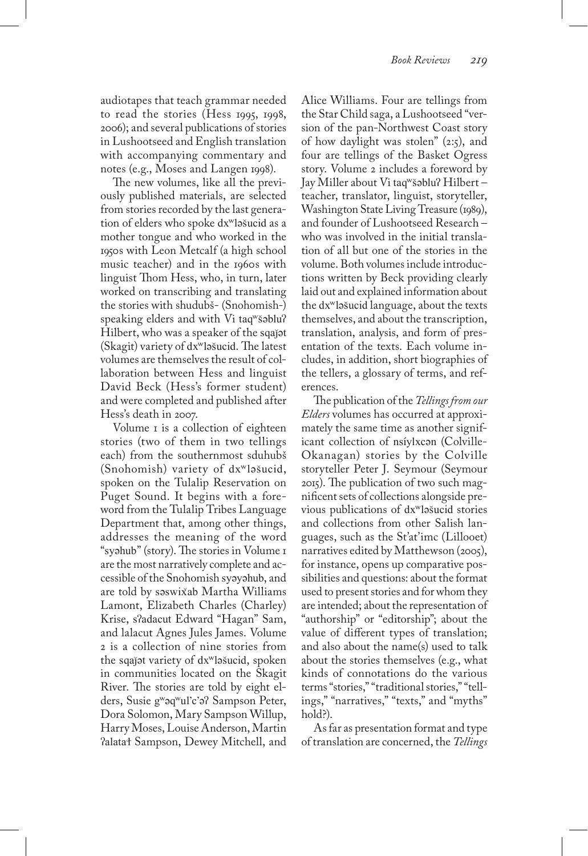audiotapes that teach grammar needed to read the stories (Hess 1995, 1998, 2006); and several publications of stories in Lushootseed and English translation with accompanying commentary and notes (e.g., Moses and Langen 1998).

The new volumes, like all the previously published materials, are selected from stories recorded by the last generation of elders who spoke dxʷləšucid as a mother tongue and who worked in the 1950s with Leon Metcalf (a high school music teacher) and in the 1960s with linguist Thom Hess, who, in turn, later worked on transcribing and translating the stories with shudubš- (Snohomish-) speaking elders and with Vi taqʷšəbluʔ Hilbert, who was a speaker of the sqaǰət (Skagit) variety of dxʷləšucid. The latest volumes are themselves the result of collaboration between Hess and linguist David Beck (Hess's former student) and were completed and published after Hess's death in 2007.

Volume I is a collection of eighteen stories (two of them in two tellings each) from the southernmost sduhubš (Snohomish) variety of dxʷləšucid, spoken on the Tulalip Reservation on Puget Sound. It begins with a foreword from the Tulalip Tribes Language Department that, among other things, addresses the meaning of the word "syəhub" (story). The stories in Volume 1 are the most narratively complete and accessible of the Snohomish syəyəhub, and are told by səswix ̌ab Martha Williams Lamont, Elizabeth Charles (Charley) Krise, sʔadacut Edward "Hagan" Sam, and lalacut Agnes Jules James. Volume 2 is a collection of nine stories from the sqaǰət variety of dxʷləšucid, spoken in communities located on the Skagit River. The stories are told by eight elders, Susie gʷəqʷul'c'əʔ Sampson Peter, Dora Solomon, Mary Sampson Willup, Harry Moses, Louise Anderson, Martin ʔalataɬ Sampson, Dewey Mitchell, and Alice Williams. Four are tellings from the Star Child saga, a Lushootseed "version of the pan-Northwest Coast story of how daylight was stolen" (2:5), and four are tellings of the Basket Ogress story. Volume 2 includes a foreword by Jay Miller about Vi taqʷšəbluʔ Hilbert – teacher, translator, linguist, storyteller, Washington State Living Treasure (1989), and founder of Lushootseed Research – who was involved in the initial translation of all but one of the stories in the volume. Both volumes include introductions written by Beck providing clearly laid out and explained information about the dxʷləšucid language, about the texts themselves, and about the transcription, translation, analysis, and form of presentation of the texts. Each volume includes, in addition, short biographies of the tellers, a glossary of terms, and references.

The publication of the *Tellings from our Elders* volumes has occurred at approximately the same time as another significant collection of nsíylxcən (Colville-Okanagan) stories by the Colville storyteller Peter J. Seymour (Seymour 2015). The publication of two such magnificent sets of collections alongside previous publications of dxʷləšucid stories and collections from other Salish languages, such as the St'at'imc (Lillooet) narratives edited by Matthewson (2005), for instance, opens up comparative possibilities and questions: about the format used to present stories and for whom they are intended; about the representation of "authorship" or "editorship"; about the value of different types of translation; and also about the name(s) used to talk about the stories themselves (e.g., what kinds of connotations do the various terms "stories," "traditional stories," "tellings," "narratives," "texts," and "myths" hold?).

As far as presentation format and type of translation are concerned, the *Tellings*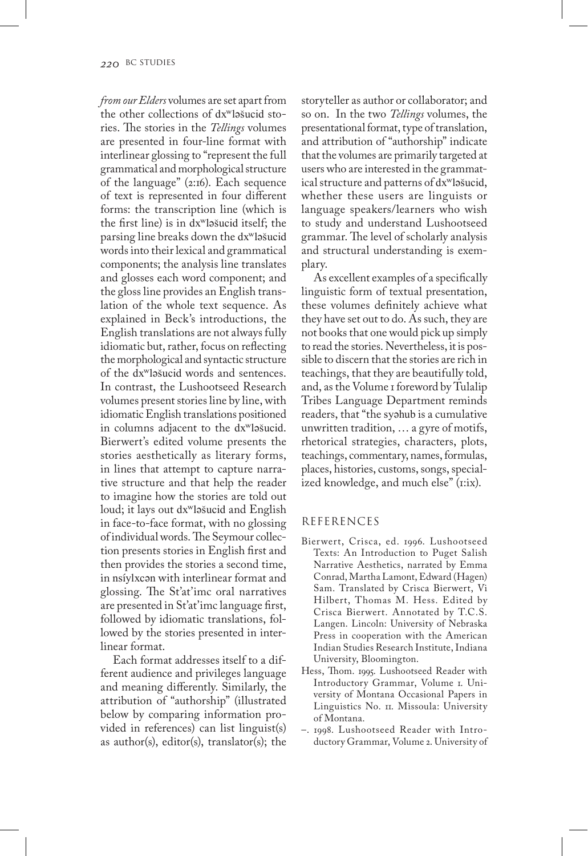*from our Elders* volumes are set apart from the other collections of dxʷləšucid stories. The stories in the *Tellings* volumes are presented in four-line format with interlinear glossing to "represent the full grammatical and morphological structure of the language" (2:16). Each sequence of text is represented in four different forms: the transcription line (which is the first line) is in dxʷləšucid itself; the parsing line breaks down the dxʷləšucid words into their lexical and grammatical components; the analysis line translates and glosses each word component; and the gloss line provides an English translation of the whole text sequence. As explained in Beck's introductions, the English translations are not always fully idiomatic but, rather, focus on reflecting the morphological and syntactic structure of the dxʷləšucid words and sentences. In contrast, the Lushootseed Research volumes present stories line by line, with idiomatic English translations positioned in columns adjacent to the dxʷləšucid. Bierwert's edited volume presents the stories aesthetically as literary forms, in lines that attempt to capture narrative structure and that help the reader to imagine how the stories are told out loud; it lays out dxʷləšucid and English in face-to-face format, with no glossing of individual words. The Seymour collection presents stories in English first and then provides the stories a second time, in nsíylxcən with interlinear format and glossing. The St'at'imc oral narratives are presented in St'at'imc language first, followed by idiomatic translations, followed by the stories presented in interlinear format.

Each format addresses itself to a different audience and privileges language and meaning differently. Similarly, the attribution of "authorship" (illustrated below by comparing information provided in references) can list linguist(s) as author(s), editor(s), translator(s); the storyteller as author or collaborator; and so on. In the two *Tellings* volumes, the presentational format, type of translation, and attribution of "authorship" indicate that the volumes are primarily targeted at users who are interested in the grammatical structure and patterns of dxʷləšucid, whether these users are linguists or language speakers/learners who wish to study and understand Lushootseed grammar. The level of scholarly analysis and structural understanding is exemplary.

As excellent examples of a specifically linguistic form of textual presentation, these volumes definitely achieve what they have set out to do. As such, they are not books that one would pick up simply to read the stories. Nevertheless, it is possible to discern that the stories are rich in teachings, that they are beautifully told, and, as the Volume 1 foreword by Tulalip Tribes Language Department reminds readers, that "the syəhub is a cumulative unwritten tradition, … a gyre of motifs, rhetorical strategies, characters, plots, teachings, commentary, names, formulas, places, histories, customs, songs, specialized knowledge, and much else" (1:ix).

#### REFERENCES

- Bierwert, Crisca, ed. 1996. Lushootseed Texts: An Introduction to Puget Salish Narrative Aesthetics, narrated by Emma Conrad, Martha Lamont, Edward (Hagen) Sam. Translated by Crisca Bierwert, Vi Hilbert, Thomas M. Hess. Edited by Crisca Bierwert. Annotated by T.C.S. Langen. Lincoln: University of Nebraska Press in cooperation with the American Indian Studies Research Institute, Indiana University, Bloomington.
- Hess, Thom. 1995. Lushootseed Reader with Introductory Grammar, Volume 1. University of Montana Occasional Papers in Linguistics No. 11. Missoula: University of Montana.
- –. 1998. Lushootseed Reader with Introductory Grammar, Volume 2. University of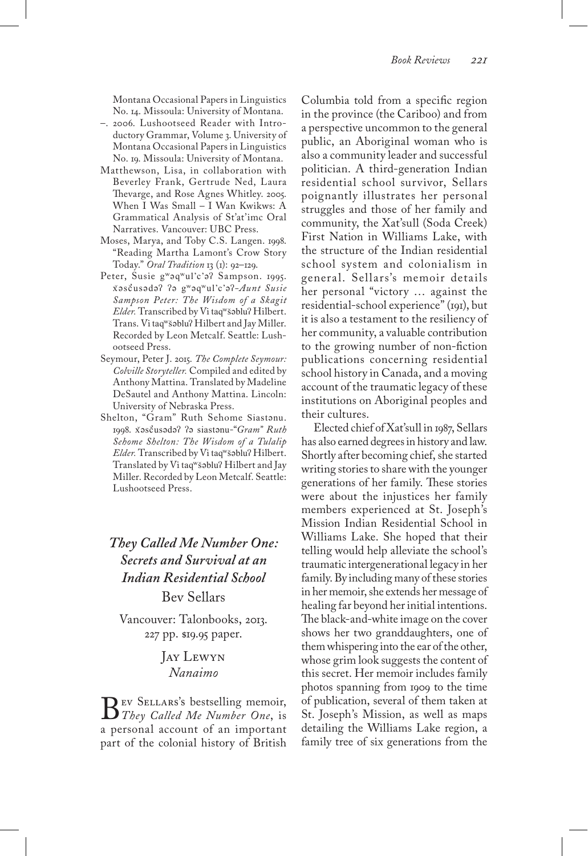Montana Occasional Papers in Linguistics No. 14. Missoula: University of Montana.

- –. 2006. Lushootseed Reader with Introductory Grammar, Volume 3. University of Montana Occasional Papers in Linguistics No. 19. Missoula: University of Montana.
- Matthewson, Lisa, in collaboration with Beverley Frank, Gertrude Ned, Laura Thevarge, and Rose Agnes Whitley. 2005. When I Was Small – I Wan Kwikws: A Grammatical Analysis of St'at'imc Oral Narratives. Vancouver: UBC Press.
- Moses, Marya, and Toby C.S. Langen. 1998. "Reading Martha Lamont's Crow Story Today." *Oral Tradition* 13 (1): 92–129.
- Peter, Susie gʷəqʷul'c'əʔ Sampson. 1995. x ̌əsč ̓usədəʔ ʔə gʷəqʷul'c'əʔ*-Aunt Susie Sampson Peter: The Wisdom of a Skagit Elder.* Transcribed by Vi taqʷšəbluʔ Hilbert. Trans. Vi taqʷšəbluʔ Hilbert and Jay Miller. Recorded by Leon Metcalf. Seattle: Lushootseed Press.
- Seymour, Peter J. 2015. *The Complete Seymour: Colville Storyteller.* Compiled and edited by Anthony Mattina. Translated by Madeline DeSautel and Anthony Mattina. Lincoln: University of Nebraska Press.
- Shelton, "Gram" Ruth Sehome Siastənu. 1998. x ̌əsč ̓usədəʔ ʔə siastənu-"*Gram" Ruth Sehome Shelton: The Wisdom of a Tulalip Elder.* Transcribed by Vi taqʷšəbluʔ Hilbert. Translated by Vi taqʷšəbluʔ Hilbert and Jay Miller. Recorded by Leon Metcalf. Seattle: Lushootseed Press.

## *They Called Me Number One: Secrets and Survival at an Indian Residential School* Bev Sellars

Vancouver: Talonbooks, 2013. 227 pp. \$19.95 paper.

## Jay Lewyn *Nanaimo*

**B** EV SELLARS's bestselling memoir,<br>*They Called Me Number One*, is<br>a personal account of an important a personal account of an important part of the colonial history of British

Columbia told from a specific region in the province (the Cariboo) and from a perspective uncommon to the general public, an Aboriginal woman who is also a community leader and successful politician. A third-generation Indian residential school survivor, Sellars poignantly illustrates her personal struggles and those of her family and community, the Xat'sull (Soda Creek) First Nation in Williams Lake, with the structure of the Indian residential school system and colonialism in general. Sellars's memoir details her personal "victory … against the residential-school experience" (191), but it is also a testament to the resiliency of her community, a valuable contribution to the growing number of non-fiction publications concerning residential school history in Canada, and a moving account of the traumatic legacy of these institutions on Aboriginal peoples and their cultures.

Elected chief of Xat'sull in 1987, Sellars has also earned degrees in history and law. Shortly after becoming chief, she started writing stories to share with the younger generations of her family. These stories were about the injustices her family members experienced at St. Joseph's Mission Indian Residential School in Williams Lake. She hoped that their telling would help alleviate the school's traumatic intergenerational legacy in her family. By including many of these stories in her memoir, she extends her message of healing far beyond her initial intentions. The black-and-white image on the cover shows her two granddaughters, one of them whispering into the ear of the other, whose grim look suggests the content of this secret. Her memoir includes family photos spanning from 1909 to the time of publication, several of them taken at St. Joseph's Mission, as well as maps detailing the Williams Lake region, a family tree of six generations from the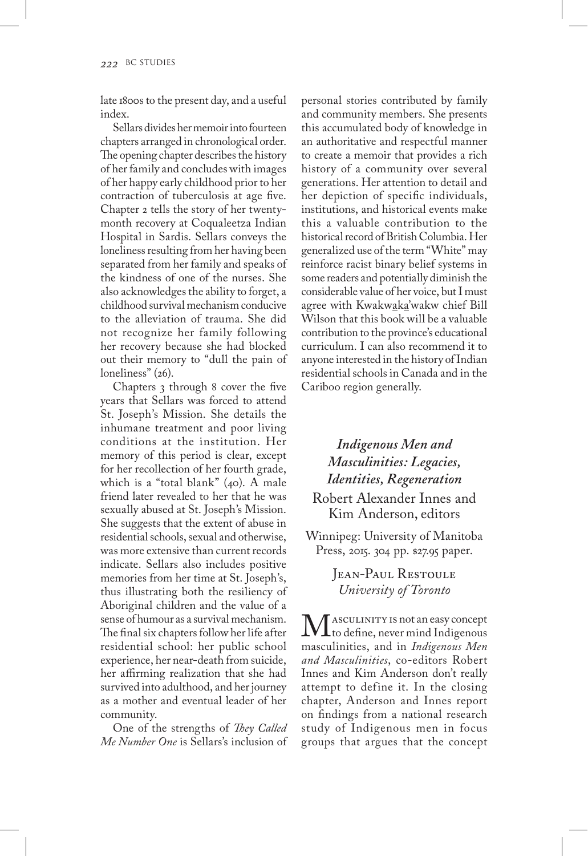late 1800s to the present day, and a useful index.

Sellars divides her memoir into fourteen chapters arranged in chronological order. The opening chapter describes the history of her family and concludes with images of her happy early childhood prior to her contraction of tuberculosis at age five. Chapter 2 tells the story of her twentymonth recovery at Coqualeetza Indian Hospital in Sardis. Sellars conveys the loneliness resulting from her having been separated from her family and speaks of the kindness of one of the nurses. She also acknowledges the ability to forget, a childhood survival mechanism conducive to the alleviation of trauma. She did not recognize her family following her recovery because she had blocked out their memory to "dull the pain of loneliness" (26).

Chapters 3 through 8 cover the five years that Sellars was forced to attend St. Joseph's Mission. She details the inhumane treatment and poor living conditions at the institution. Her memory of this period is clear, except for her recollection of her fourth grade, which is a "total blank" (40). A male friend later revealed to her that he was sexually abused at St. Joseph's Mission. She suggests that the extent of abuse in residential schools, sexual and otherwise, was more extensive than current records indicate. Sellars also includes positive memories from her time at St. Joseph's, thus illustrating both the resiliency of Aboriginal children and the value of a sense of humour as a survival mechanism. The final six chapters follow her life after residential school: her public school experience, her near-death from suicide, her affirming realization that she had survived into adulthood, and her journey as a mother and eventual leader of her community.

One of the strengths of *They Called Me Number One* is Sellars's inclusion of personal stories contributed by family and community members. She presents this accumulated body of knowledge in an authoritative and respectful manner to create a memoir that provides a rich history of a community over several generations. Her attention to detail and her depiction of specific individuals, institutions, and historical events make this a valuable contribution to the historical record of British Columbia. Her generalized use of the term "White" may reinforce racist binary belief systems in some readers and potentially diminish the considerable value of her voice, but I must agree with Kwakwaka'wakw chief Bill Wilson that this book will be a valuable contribution to the province's educational curriculum. I can also recommend it to anyone interested in the history of Indian residential schools in Canada and in the Cariboo region generally.

## *Indigenous Men and Masculinities: Legacies, Identities, Regeneration*

Robert Alexander Innes and Kim Anderson, editors

Winnipeg: University of Manitoba Press, 2015. 304 pp. \$27.95 paper.

> JEAN-PAUL RESTOULE *University of Toronto*

 $\mathbf{M}$  asculinity is not an easy concept<br>masculinities, and in *Indigenous Men* masculinities, and in *Indigenous Men and Masculinities*, co-editors Robert Innes and Kim Anderson don't really attempt to define it. In the closing chapter, Anderson and Innes report on findings from a national research study of Indigenous men in focus groups that argues that the concept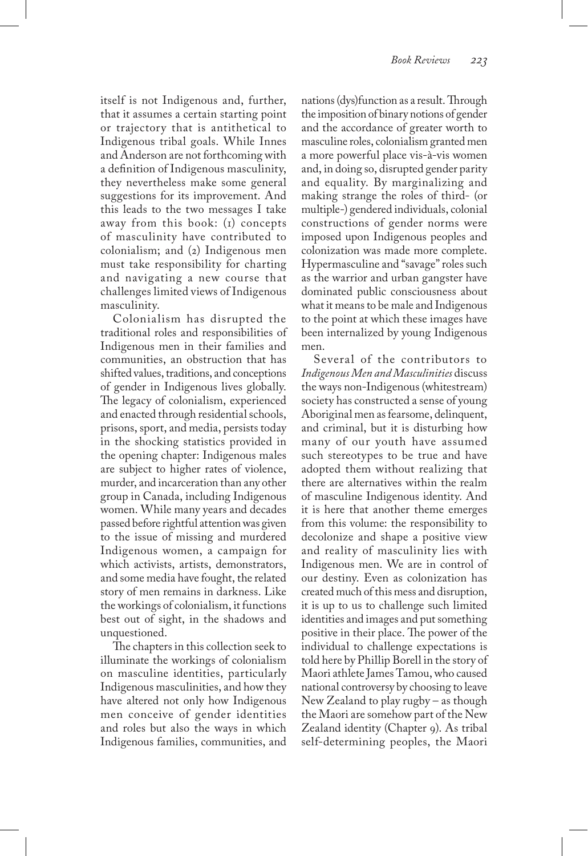itself is not Indigenous and, further, that it assumes a certain starting point or trajectory that is antithetical to Indigenous tribal goals. While Innes and Anderson are not forthcoming with a definition of Indigenous masculinity, they nevertheless make some general suggestions for its improvement. And this leads to the two messages I take away from this book: (1) concepts of masculinity have contributed to colonialism; and (2) Indigenous men must take responsibility for charting and navigating a new course that challenges limited views of Indigenous masculinity.

Colonialism has disrupted the traditional roles and responsibilities of Indigenous men in their families and communities, an obstruction that has shifted values, traditions, and conceptions of gender in Indigenous lives globally. The legacy of colonialism, experienced and enacted through residential schools, prisons, sport, and media, persists today in the shocking statistics provided in the opening chapter: Indigenous males are subject to higher rates of violence, murder, and incarceration than any other group in Canada, including Indigenous women. While many years and decades passed before rightful attention was given to the issue of missing and murdered Indigenous women, a campaign for which activists, artists, demonstrators, and some media have fought, the related story of men remains in darkness. Like the workings of colonialism, it functions best out of sight, in the shadows and unquestioned.

The chapters in this collection seek to illuminate the workings of colonialism on masculine identities, particularly Indigenous masculinities, and how they have altered not only how Indigenous men conceive of gender identities and roles but also the ways in which Indigenous families, communities, and

nations (dys)function as a result. Through the imposition of binary notions of gender and the accordance of greater worth to masculine roles, colonialism granted men a more powerful place vis-à-vis women and, in doing so, disrupted gender parity and equality. By marginalizing and making strange the roles of third- (or multiple-) gendered individuals, colonial constructions of gender norms were imposed upon Indigenous peoples and colonization was made more complete. Hypermasculine and "savage" roles such as the warrior and urban gangster have dominated public consciousness about what it means to be male and Indigenous to the point at which these images have been internalized by young Indigenous men.

Several of the contributors to *Indigenous Men and Masculinities* discuss the ways non-Indigenous (whitestream) society has constructed a sense of young Aboriginal men as fearsome, delinquent, and criminal, but it is disturbing how many of our youth have assumed such stereotypes to be true and have adopted them without realizing that there are alternatives within the realm of masculine Indigenous identity. And it is here that another theme emerges from this volume: the responsibility to decolonize and shape a positive view and reality of masculinity lies with Indigenous men. We are in control of our destiny. Even as colonization has created much of this mess and disruption, it is up to us to challenge such limited identities and images and put something positive in their place. The power of the individual to challenge expectations is told here by Phillip Borell in the story of Maori athlete James Tamou, who caused national controversy by choosing to leave New Zealand to play rugby – as though the Maori are somehow part of the New Zealand identity (Chapter 9). As tribal self-determining peoples, the Maori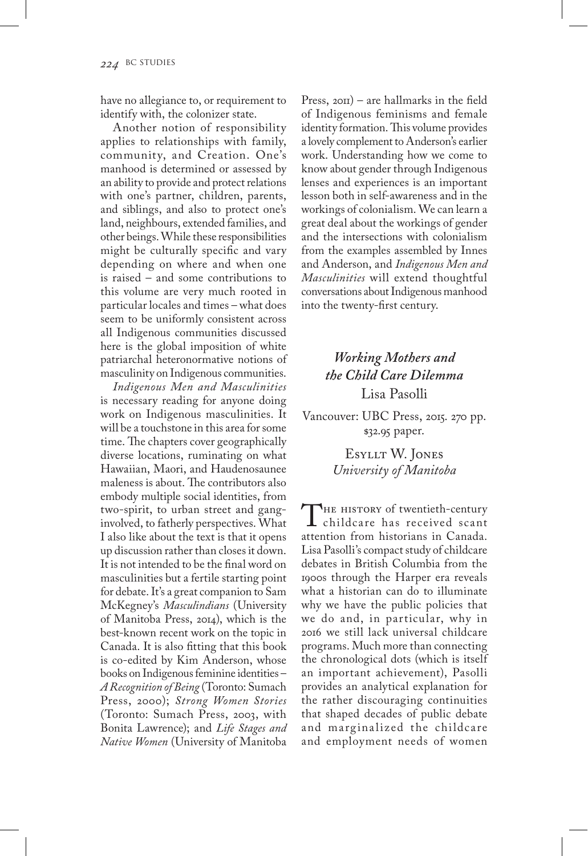have no allegiance to, or requirement to identify with, the colonizer state.

Another notion of responsibility applies to relationships with family, community, and Creation. One's manhood is determined or assessed by an ability to provide and protect relations with one's partner, children, parents, and siblings, and also to protect one's land, neighbours, extended families, and other beings. While these responsibilities might be culturally specific and vary depending on where and when one is raised – and some contributions to this volume are very much rooted in particular locales and times – what does seem to be uniformly consistent across all Indigenous communities discussed here is the global imposition of white patriarchal heteronormative notions of masculinity on Indigenous communities.

*Indigenous Men and Masculinities*  is necessary reading for anyone doing work on Indigenous masculinities. It will be a touchstone in this area for some time. The chapters cover geographically diverse locations, ruminating on what Hawaiian, Maori, and Haudenosaunee maleness is about. The contributors also embody multiple social identities, from two-spirit, to urban street and ganginvolved, to fatherly perspectives. What I also like about the text is that it opens up discussion rather than closes it down. It is not intended to be the final word on masculinities but a fertile starting point for debate. It's a great companion to Sam McKegney's *Masculindians* (University of Manitoba Press, 2014), which is the best-known recent work on the topic in Canada. It is also fitting that this book is co-edited by Kim Anderson, whose books on Indigenous feminine identities – *A Recognition of Being* (Toronto: Sumach Press, 2000); *Strong Women Stories*  (Toronto: Sumach Press, 2003, with Bonita Lawrence); and *Life Stages and Native Women* (University of Manitoba

Press, 2011) – are hallmarks in the field of Indigenous feminisms and female identity formation. This volume provides a lovely complement to Anderson's earlier work. Understanding how we come to know about gender through Indigenous lenses and experiences is an important lesson both in self-awareness and in the workings of colonialism. We can learn a great deal about the workings of gender and the intersections with colonialism from the examples assembled by Innes and Anderson, and *Indigenous Men and Masculinities* will extend thoughtful conversations about Indigenous manhood into the twenty-first century.

## *Working Mothers and the Child Care Dilemma* Lisa Pasolli

Vancouver: UBC Press, 2015. 270 pp. \$32.95 paper.

> Esyllt W. Jones *University of Manitoba*

THE HISTORY of twentieth-century childcare has received scant attention from historians in Canada. Lisa Pasolli's compact study of childcare debates in British Columbia from the 1900s through the Harper era reveals what a historian can do to illuminate why we have the public policies that we do and, in particular, why in 2016 we still lack universal childcare programs. Much more than connecting the chronological dots (which is itself an important achievement), Pasolli provides an analytical explanation for the rather discouraging continuities that shaped decades of public debate and marginalized the childcare and employment needs of women